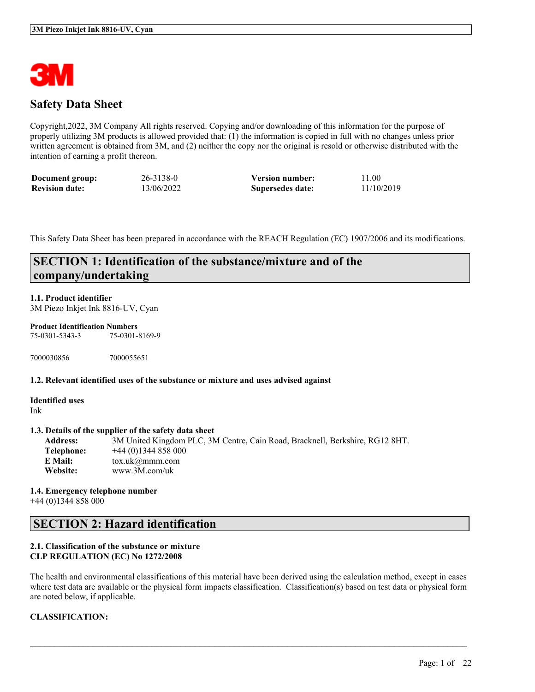

# **Safety Data Sheet**

Copyright,2022, 3M Company All rights reserved. Copying and/or downloading of this information for the purpose of properly utilizing 3M products is allowed provided that: (1) the information is copied in full with no changes unless prior written agreement is obtained from 3M, and (2) neither the copy nor the original is resold or otherwise distributed with the intention of earning a profit thereon.

| Document group:       | 26-3138-0  | <b>Version number:</b> | 11.00      |
|-----------------------|------------|------------------------|------------|
| <b>Revision date:</b> | 13/06/2022 | Supersedes date:       | 11/10/2019 |

This Safety Data Sheet has been prepared in accordance with the REACH Regulation (EC) 1907/2006 and its modifications.

# **SECTION 1: Identification of the substance/mixture and of the company/undertaking**

### **1.1. Product identifier**

3M Piezo Inkjet Ink 8816-UV, Cyan

#### **Product Identification Numbers**

75-0301-5343-3 75-0301-8169-9

7000030856 7000055651

#### **1.2. Relevant identified uses of the substance or mixture and uses advised against**

**Identified uses** Ink

#### **1.3. Details of the supplier of the safety data sheet**

**Address:** 3M United Kingdom PLC, 3M Centre, Cain Road, Bracknell, Berkshire, RG12 8HT. **Telephone:** +44 (0)1344 858 000 **E Mail:** tox.uk@mmm.com **Website:** www.3M.com/uk

**1.4. Emergency telephone number** +44 (0)1344 858 000

# **SECTION 2: Hazard identification**

### **2.1. Classification of the substance or mixture CLP REGULATION (EC) No 1272/2008**

The health and environmental classifications of this material have been derived using the calculation method, except in cases where test data are available or the physical form impacts classification. Classification(s) based on test data or physical form are noted below, if applicable.

 $\mathcal{L}_\mathcal{L} = \mathcal{L}_\mathcal{L} = \mathcal{L}_\mathcal{L} = \mathcal{L}_\mathcal{L} = \mathcal{L}_\mathcal{L} = \mathcal{L}_\mathcal{L} = \mathcal{L}_\mathcal{L} = \mathcal{L}_\mathcal{L} = \mathcal{L}_\mathcal{L} = \mathcal{L}_\mathcal{L} = \mathcal{L}_\mathcal{L} = \mathcal{L}_\mathcal{L} = \mathcal{L}_\mathcal{L} = \mathcal{L}_\mathcal{L} = \mathcal{L}_\mathcal{L} = \mathcal{L}_\mathcal{L} = \mathcal{L}_\mathcal{L}$ 

# **CLASSIFICATION:**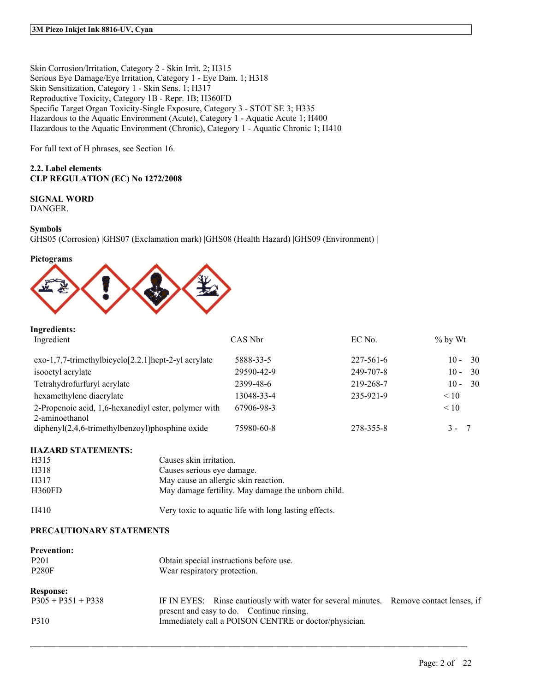Skin Corrosion/Irritation, Category 2 - Skin Irrit. 2; H315 Serious Eye Damage/Eye Irritation, Category 1 - Eye Dam. 1; H318 Skin Sensitization, Category 1 - Skin Sens. 1; H317 Reproductive Toxicity, Category 1B - Repr. 1B; H360FD Specific Target Organ Toxicity-Single Exposure, Category 3 - STOT SE 3; H335 Hazardous to the Aquatic Environment (Acute), Category 1 - Aquatic Acute 1; H400 Hazardous to the Aquatic Environment (Chronic), Category 1 - Aquatic Chronic 1; H410

For full text of H phrases, see Section 16.

# **2.2. Label elements CLP REGULATION (EC) No 1272/2008**

# **SIGNAL WORD**

DANGER.

### **Symbols**

GHS05 (Corrosion) |GHS07 (Exclamation mark) |GHS08 (Health Hazard) |GHS09 (Environment) |





# **Ingredients:**

| Ingredient                                                             | CAS Nbr    | EC No.          | $\%$ by Wt     |
|------------------------------------------------------------------------|------------|-----------------|----------------|
| $exo-1,7,7-$ trimethylbicyclo $[2.2.1]$ hept-2-yl acrylate             | 5888-33-5  | $227 - 561 - 6$ | - 30<br>$10 -$ |
| isooctyl acrylate                                                      | 29590-42-9 | 249-707-8       | -30<br>$10 -$  |
| Tetrahydrofurfuryl acrylate                                            | 2399-48-6  | 219-268-7       | - 30<br>$10 -$ |
| hexamethylene diacrylate                                               | 13048-33-4 | 235-921-9       | $\leq 10$      |
| 2-Propenoic acid, 1,6-hexanediyl ester, polymer with<br>2-aminoethanol | 67906-98-3 |                 | $\leq 10$      |
| diphenyl $(2,4,6$ -trimethylbenzoyl)phosphine oxide                    | 75980-60-8 | 278-355-8       | $3 -$<br>- 7   |

# **HAZARD STATEMENTS:**

| H <sub>3</sub> 15 | Causes skin irritation.                               |
|-------------------|-------------------------------------------------------|
| H318              | Causes serious eve damage.                            |
| H317              | May cause an allergic skin reaction.                  |
| <b>H360FD</b>     | May damage fertility. May damage the unborn child.    |
| H410              | Very toxic to aquatic life with long lasting effects. |

#### **PRECAUTIONARY STATEMENTS**

| <b>Prevention:</b><br>P <sub>201</sub><br><b>P280F</b> | Obtain special instructions before use.<br>Wear respiratory protection.                                                             |  |
|--------------------------------------------------------|-------------------------------------------------------------------------------------------------------------------------------------|--|
| <b>Response:</b>                                       |                                                                                                                                     |  |
| $P305 + P351 + P338$                                   | IF IN EYES: Rinse cautiously with water for several minutes. Remove contact lenses, if<br>present and easy to do. Continue rinsing. |  |
| P310                                                   | Immediately call a POISON CENTRE or doctor/physician.                                                                               |  |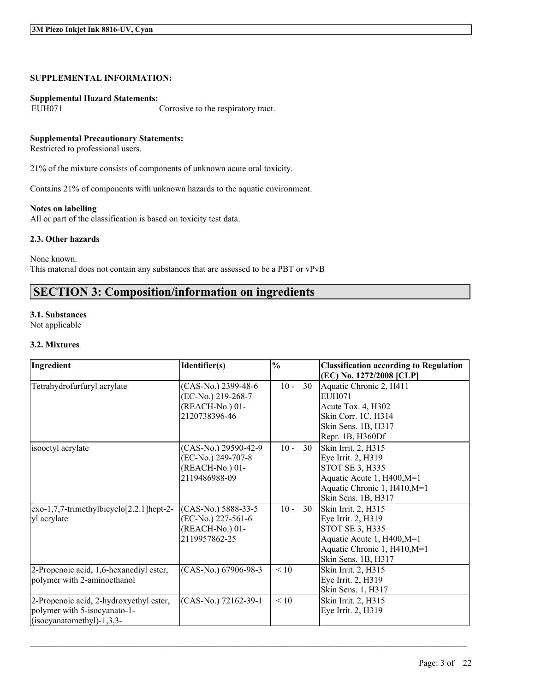#### **SUPPLEMENTAL INFORMATION:**

# **Supplemental Hazard Statements:**

Corrosive to the respiratory tract.

### **Supplemental Precautionary Statements:**

Restricted to professional users.

21% of the mixture consists of components of unknown acute oral toxicity.

Contains 21% of components with unknown hazards to the aquatic environment.

#### **Notes on labelling**

All or part of the classification is based on toxicity test data.

#### **2.3. Other hazards**

None known. This material does not contain any substances that are assessed to be a PBT or vPvB

# **SECTION 3: Composition/information on ingredients**

#### **3.1. Substances**

Not applicable

#### **3.2. Mixtures**

| Ingredient                                                                                             | Identifier(s)                                                                   | $\frac{0}{0}$ |    | <b>Classification according to Regulation</b><br>(EC) No. 1272/2008 [CLP]                                                                         |
|--------------------------------------------------------------------------------------------------------|---------------------------------------------------------------------------------|---------------|----|---------------------------------------------------------------------------------------------------------------------------------------------------|
| Tetrahydrofurfuryl acrylate                                                                            | (CAS-No.) 2399-48-6<br>(EC-No.) 219-268-7<br>(REACH-No.) 01-<br>2120738396-46   | $10 -$        | 30 | Aquatic Chronic 2, H411<br>EUH071<br>Acute Tox. 4, H302<br>Skin Corr. 1C, H314<br>Skin Sens. 1B, H317<br>Repr. 1B, H360Df                         |
| isooctyl acrylate                                                                                      | (CAS-No.) 29590-42-9<br>(EC-No.) 249-707-8<br>(REACH-No.) 01-<br>2119486988-09  | $10 -$        | 30 | Skin Irrit. 2, H315<br>Eye Irrit. 2, H319<br>STOT SE 3, H335<br>Aquatic Acute 1, H400, M=1<br>Aquatic Chronic 1, H410, M=1<br>Skin Sens. 1B, H317 |
| exo-1,7,7-trimethylbicyclo[2.2.1]hept-2-<br>yl acrylate                                                | $(CAS-N0.) 5888-33-5$<br>(EC-No.) 227-561-6<br>(REACH-No.) 01-<br>2119957862-25 | $10 -$        | 30 | Skin Irrit. 2, H315<br>Eye Irrit. 2, H319<br>STOT SE 3, H335<br>Aquatic Acute 1, H400, M=1<br>Aquatic Chronic 1, H410, M=1<br>Skin Sens. 1B, H317 |
| 2-Propenoic acid, 1,6-hexanediyl ester,<br>polymer with 2-aminoethanol                                 | (CAS-No.) 67906-98-3                                                            | < 10          |    | Skin Irrit. 2, H315<br>Eye Irrit. 2, H319<br>Skin Sens. 1, H317                                                                                   |
| 2-Propenoic acid, 2-hydroxyethyl ester,<br>polymer with 5-isocyanato-1-<br>$(isocyanatomethyl)-1,3,3-$ | (CAS-No.) 72162-39-1                                                            | < 10          |    | Skin Irrit. 2, H315<br>Eye Irrit. 2, H319                                                                                                         |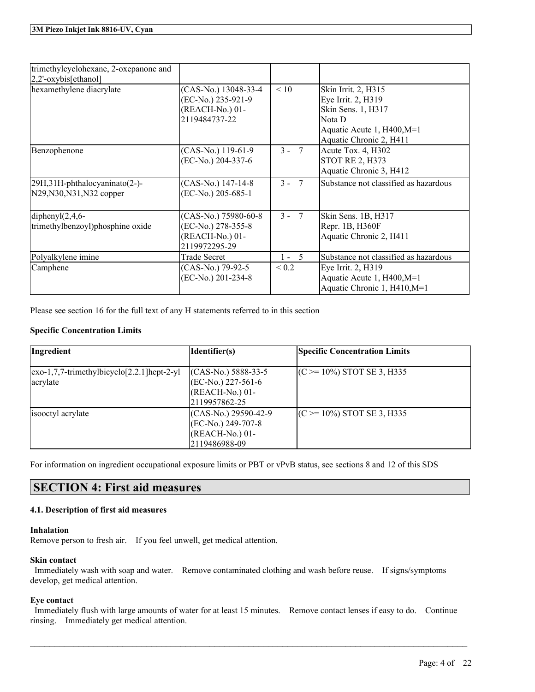| trimethylcyclohexane, 2-oxepanone and<br>2,2'-oxybis[ethanol] |                                                                                |                          |                                                                                                                                    |
|---------------------------------------------------------------|--------------------------------------------------------------------------------|--------------------------|------------------------------------------------------------------------------------------------------------------------------------|
| hexamethylene diacrylate                                      | (CAS-No.) 13048-33-4<br>(EC-No.) 235-921-9<br>(REACH-No.) 01-<br>2119484737-22 | < 10                     | Skin Irrit. 2, H315<br>Eye Irrit. 2, H319<br>Skin Sens. 1, H317<br>Nota D<br>Aquatic Acute 1, H400, M=1<br>Aquatic Chronic 2, H411 |
| Benzophenone                                                  | (CAS-No.) 119-61-9<br>(EC-No.) 204-337-6                                       | $3 - 7$                  | Acute Tox. 4, H302<br><b>STOT RE 2, H373</b><br>Aquatic Chronic 3, H412                                                            |
| 29H,31H-phthalocyaninato(2-)-<br>N29, N30, N31, N32 copper    | (CAS-No.) 147-14-8<br>(EC-No.) 205-685-1                                       | $3 -$<br>$7\phantom{.0}$ | Substance not classified as hazardous                                                                                              |
| diphenyl $(2,4,6$ -<br>trimethylbenzoyl)phosphine oxide       | (CAS-No.) 75980-60-8<br>(EC-No.) 278-355-8<br>(REACH-No.) 01-<br>2119972295-29 | $3 - 7$                  | Skin Sens. 1B, H317<br>Repr. 1B, H360F<br>Aquatic Chronic 2, H411                                                                  |
| Polyalkylene imine                                            | <b>Trade Secret</b>                                                            | $1 - 5$                  | Substance not classified as hazardous                                                                                              |
| Camphene                                                      | (CAS-No.) 79-92-5<br>(EC-No.) 201-234-8                                        | ${}_{0.2}$               | Eye Irrit. 2, H319<br>Aquatic Acute 1, H400, M=1<br>Aquatic Chronic 1, H410, M=1                                                   |

Please see section 16 for the full text of any H statements referred to in this section

# **Specific Concentration Limits**

| Ingredient                                                          | Identifier(s)                             | <b>Specific Concentration Limits</b> |
|---------------------------------------------------------------------|-------------------------------------------|--------------------------------------|
| $\left[ \text{exo-1,7,7-trimethylbicyclo[2.2.1]} \right]$ hept-2-yl | $(CAS-N0.) 5888-33-5$                     | $(C \ge 10\%)$ STOT SE 3, H335       |
| acrylate                                                            | $(EC-No.) 227-561-6$<br>$(REACH-No.) 01-$ |                                      |
| isooctyl acrylate                                                   | 2119957862-25<br>$(CAS-No.) 29590-42-9$   | $(C \ge 10\%)$ STOT SE 3, H335       |
|                                                                     | $ (EC-No.) 249-707-8$                     |                                      |
|                                                                     | $(REACH-No.) 01-$<br>2119486988-09        |                                      |

For information on ingredient occupational exposure limits or PBT or vPvB status, see sections 8 and 12 of this SDS

# **SECTION 4: First aid measures**

# **4.1. Description of first aid measures**

#### **Inhalation**

Remove person to fresh air. If you feel unwell, get medical attention.

# **Skin contact**

Immediately wash with soap and water. Remove contaminated clothing and wash before reuse. If signs/symptoms develop, get medical attention.

# **Eye contact**

Immediately flush with large amounts of water for at least 15 minutes. Remove contact lenses if easy to do. Continue rinsing. Immediately get medical attention.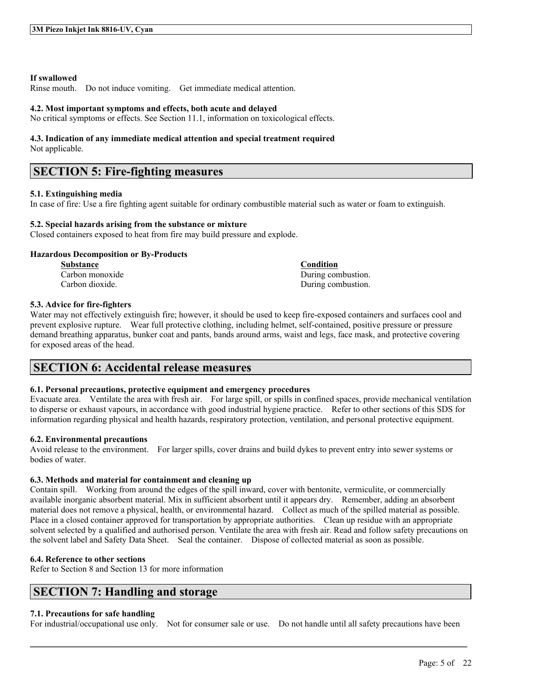#### **If swallowed**

Rinse mouth. Do not induce vomiting. Get immediate medical attention.

#### **4.2. Most important symptoms and effects, both acute and delayed**

No critical symptoms or effects. See Section 11.1, information on toxicological effects.

# **4.3. Indication of any immediate medical attention and special treatment required**

Not applicable.

# **SECTION 5: Fire-fighting measures**

#### **5.1. Extinguishing media**

In case of fire: Use a fire fighting agent suitable for ordinary combustible material such as water or foam to extinguish.

#### **5.2. Special hazards arising from the substance or mixture**

Closed containers exposed to heat from fire may build pressure and explode.

### **Hazardous Decomposition or By-Products**

**Substance Condition**

Carbon monoxide During combustion. Carbon dioxide. During combustion.

### **5.3. Advice for fire-fighters**

Water may not effectively extinguish fire; however, it should be used to keep fire-exposed containers and surfaces cool and prevent explosive rupture. Wear full protective clothing, including helmet, self-contained, positive pressure or pressure demand breathing apparatus, bunker coat and pants, bands around arms, waist and legs, face mask, and protective covering for exposed areas of the head.

# **SECTION 6: Accidental release measures**

#### **6.1. Personal precautions, protective equipment and emergency procedures**

Evacuate area. Ventilate the area with fresh air. For large spill, or spills in confined spaces, provide mechanical ventilation to disperse or exhaust vapours, in accordance with good industrial hygiene practice. Refer to other sections of this SDS for information regarding physical and health hazards, respiratory protection, ventilation, and personal protective equipment.

#### **6.2. Environmental precautions**

Avoid release to the environment. For larger spills, cover drains and build dykes to prevent entry into sewer systems or bodies of water.

#### **6.3. Methods and material for containment and cleaning up**

Contain spill. Working from around the edges of the spill inward, cover with bentonite, vermiculite, or commercially available inorganic absorbent material. Mix in sufficient absorbent until it appears dry. Remember, adding an absorbent material does not remove a physical, health, or environmental hazard. Collect as much of the spilled material as possible. Place in a closed container approved for transportation by appropriate authorities. Clean up residue with an appropriate solvent selected by a qualified and authorised person. Ventilate the area with fresh air. Read and follow safety precautions on the solvent label and Safety Data Sheet. Seal the container. Dispose of collected material as soon as possible.

#### **6.4. Reference to other sections**

Refer to Section 8 and Section 13 for more information

# **SECTION 7: Handling and storage**

#### **7.1. Precautions for safe handling**

For industrial/occupational use only. Not for consumer sale or use. Do not handle until all safety precautions have been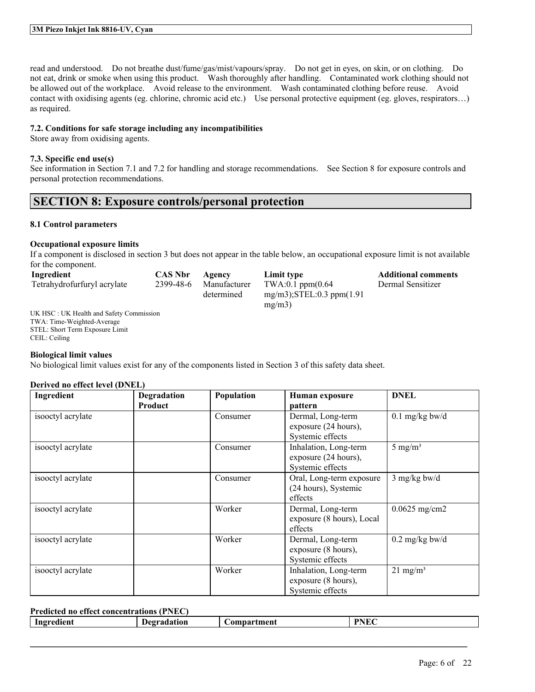read and understood. Do not breathe dust/fume/gas/mist/vapours/spray. Do not get in eyes, on skin, or on clothing. Do not eat, drink or smoke when using this product. Wash thoroughly after handling. Contaminated work clothing should not be allowed out of the workplace. Avoid release to the environment. Wash contaminated clothing before reuse. Avoid contact with oxidising agents (eg. chlorine, chromic acid etc.) Use personal protective equipment (eg. gloves, respirators…) as required.

#### **7.2. Conditions for safe storage including any incompatibilities**

Store away from oxidising agents.

### **7.3. Specific end use(s)**

See information in Section 7.1 and 7.2 for handling and storage recommendations. See Section 8 for exposure controls and personal protection recommendations.

# **SECTION 8: Exposure controls/personal protection**

### **8.1 Control parameters**

#### **Occupational exposure limits**

If a component is disclosed in section 3 but does not appear in the table below, an occupational exposure limit is not available for the component.

| Ingredient                                             | <b>CAS Nbr</b> | Agency       | Limit type                       | <b>Additional comments</b> |
|--------------------------------------------------------|----------------|--------------|----------------------------------|----------------------------|
| Tetrahydrofurfuryl acrylate                            | 2399-48-6      | Manufacturer | $TWA:0.1$ ppm $(0.64)$           | Dermal Sensitizer          |
|                                                        |                | determined   | $mg/m3$ : STEL: 0.3 ppm $(1.91)$ |                            |
|                                                        |                |              | mg/m3                            |                            |
| $I\,I\,K$ HSC $\cdot$ IIK Health and Safety Commission |                |              |                                  |                            |

UK HSC : UK Health and Safety Commission TWA: Time-Weighted-Average STEL: Short Term Exposure Limit CEIL: Ceiling

#### **Biological limit values**

No biological limit values exist for any of the components listed in Section 3 of this safety data sheet.

# **Derived no effect level (DNEL)**

| Ingredient        | Degradation<br><b>Product</b> | Population | Human exposure<br>pattern                                         | <b>DNEL</b>              |
|-------------------|-------------------------------|------------|-------------------------------------------------------------------|--------------------------|
| isooctyl acrylate |                               | Consumer   | Dermal, Long-term<br>exposure (24 hours),<br>Systemic effects     | $0.1$ mg/kg bw/d         |
| isooctyl acrylate |                               | Consumer   | Inhalation, Long-term<br>exposure (24 hours),<br>Systemic effects | 5 mg/m <sup>3</sup>      |
| isooctyl acrylate |                               | Consumer   | Oral, Long-term exposure<br>(24 hours), Systemic<br>effects       | $3$ mg/kg bw/d           |
| isooctyl acrylate |                               | Worker     | Dermal, Long-term<br>exposure (8 hours), Local<br>effects         | $0.0625$ mg/cm2          |
| isooctyl acrylate |                               | Worker     | Dermal, Long-term<br>exposure (8 hours),<br>Systemic effects      | $0.2 \text{ mg/kg}$ bw/d |
| isooctyl acrylate |                               | Worker     | Inhalation, Long-term<br>exposure (8 hours),<br>Systemic effects  | $21 \text{ mg/m}^3$      |

#### **Predicted no effect concentrations (PNEC)**

|  | uen.<br>-Ingr<br>-- | Λn<br>10. | ment<br>. | ___<br><b>.</b><br>ш. |
|--|---------------------|-----------|-----------|-----------------------|
|--|---------------------|-----------|-----------|-----------------------|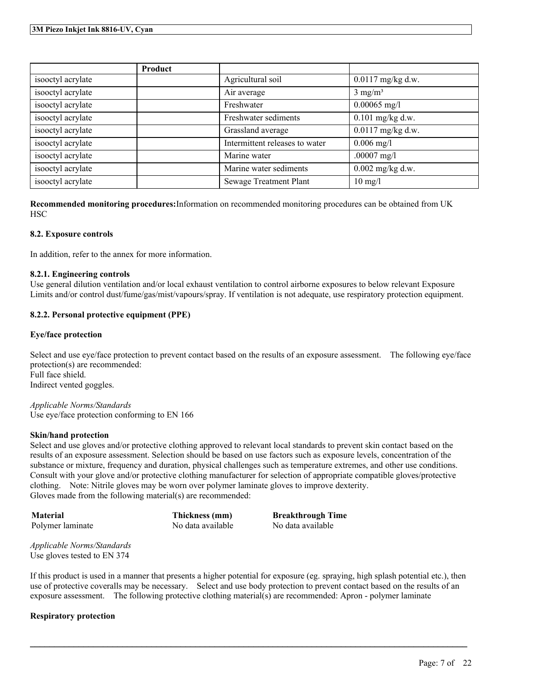|                   | Product |                                |                     |
|-------------------|---------|--------------------------------|---------------------|
| isooctyl acrylate |         | Agricultural soil              | $0.0117$ mg/kg d.w. |
| isooctyl acrylate |         | Air average                    | $3 \text{ mg/m}^3$  |
| isooctyl acrylate |         | Freshwater                     | $0.00065$ mg/l      |
| isooctyl acrylate |         | Freshwater sediments           | $0.101$ mg/kg d.w.  |
| isooctyl acrylate |         | Grassland average              | 0.0117 mg/kg d.w.   |
| isooctyl acrylate |         | Intermittent releases to water | $0.006$ mg/l        |
| isooctyl acrylate |         | Marine water                   | $.00007$ mg/l       |
| isooctyl acrylate |         | Marine water sediments         | $0.002$ mg/kg d.w.  |
| isooctyl acrylate |         | <b>Sewage Treatment Plant</b>  | $10 \text{ mg/l}$   |

**Recommended monitoring procedures:**Information on recommended monitoring procedures can be obtained from UK HSC

### **8.2. Exposure controls**

In addition, refer to the annex for more information.

### **8.2.1. Engineering controls**

Use general dilution ventilation and/or local exhaust ventilation to control airborne exposures to below relevant Exposure Limits and/or control dust/fume/gas/mist/vapours/spray. If ventilation is not adequate, use respiratory protection equipment.

# **8.2.2. Personal protective equipment (PPE)**

#### **Eye/face protection**

Select and use eye/face protection to prevent contact based on the results of an exposure assessment. The following eye/face protection(s) are recommended: Full face shield. Indirect vented goggles.

*Applicable Norms/Standards* Use eye/face protection conforming to EN 166

#### **Skin/hand protection**

Select and use gloves and/or protective clothing approved to relevant local standards to prevent skin contact based on the results of an exposure assessment. Selection should be based on use factors such as exposure levels, concentration of the substance or mixture, frequency and duration, physical challenges such as temperature extremes, and other use conditions. Consult with your glove and/or protective clothing manufacturer for selection of appropriate compatible gloves/protective clothing. Note: Nitrile gloves may be worn over polymer laminate gloves to improve dexterity. Gloves made from the following material(s) are recommended:

| Material         | Thickness (mm)    | <b>Breakthrough Time</b> |
|------------------|-------------------|--------------------------|
| Polymer laminate | No data available | No data available        |

*Applicable Norms/Standards* Use gloves tested to EN 374

If this product is used in a manner that presents a higher potential for exposure (eg. spraying, high splash potential etc.), then use of protective coveralls may be necessary. Select and use body protection to prevent contact based on the results of an exposure assessment. The following protective clothing material(s) are recommended: Apron - polymer laminate

 $\mathcal{L}_\mathcal{L} = \mathcal{L}_\mathcal{L} = \mathcal{L}_\mathcal{L} = \mathcal{L}_\mathcal{L} = \mathcal{L}_\mathcal{L} = \mathcal{L}_\mathcal{L} = \mathcal{L}_\mathcal{L} = \mathcal{L}_\mathcal{L} = \mathcal{L}_\mathcal{L} = \mathcal{L}_\mathcal{L} = \mathcal{L}_\mathcal{L} = \mathcal{L}_\mathcal{L} = \mathcal{L}_\mathcal{L} = \mathcal{L}_\mathcal{L} = \mathcal{L}_\mathcal{L} = \mathcal{L}_\mathcal{L} = \mathcal{L}_\mathcal{L}$ 

#### **Respiratory protection**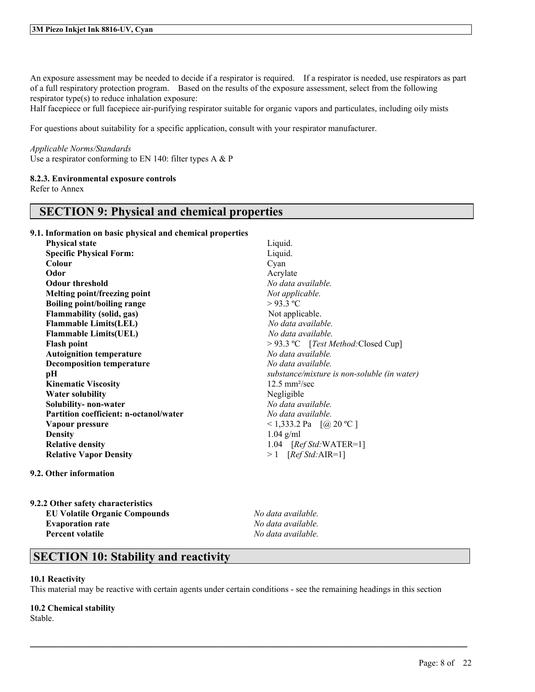An exposure assessment may be needed to decide if a respirator is required. If a respirator is needed, use respirators as part of a full respiratory protection program. Based on the results of the exposure assessment, select from the following respirator type(s) to reduce inhalation exposure:

Half facepiece or full facepiece air-purifying respirator suitable for organic vapors and particulates, including oily mists

For questions about suitability for a specific application, consult with your respirator manufacturer.

#### *Applicable Norms/Standards*

Use a respirator conforming to EN 140: filter types A & P

#### **8.2.3. Environmental exposure controls**

Refer to Annex

# **SECTION 9: Physical and chemical properties**

**9.1. Information on basic physical and chemical properties**

| <b>Physical state</b>                  | Liquid.              |
|----------------------------------------|----------------------|
| <b>Specific Physical Form:</b>         | Liquid.              |
| Colour                                 | Cyan                 |
| Odor                                   | Acrylat              |
| <b>Odour threshold</b>                 | No date              |
| Melting point/freezing point           | Not app              |
| <b>Boiling point/boiling range</b>     | >93.3                |
| <b>Flammability (solid, gas)</b>       | Not ap               |
| <b>Flammable Limits(LEL)</b>           | No dat               |
| <b>Flammable Limits(UEL)</b>           | No dat               |
| <b>Flash point</b>                     | >93.3                |
| <b>Autoignition temperature</b>        | No date              |
| <b>Decomposition temperature</b>       | No date              |
| рH                                     | substar              |
| <b>Kinematic Viscosity</b>             | $12.5 \text{ m}$     |
| <b>Water solubility</b>                | Negligi              |
| Solubility- non-water                  | No date              |
| Partition coefficient: n-octanol/water | No date              |
| Vapour pressure                        | < 1,333              |
| <b>Density</b>                         | $1.04$ g/            |
| <b>Relative density</b>                | 1.04                 |
| <b>Relative Vapor Density</b>          | $\geq 1$<br>$\lceil$ |
|                                        |                      |

Liquid. Acrylate **Odour threshold** *No data available.*  $Not$  *applicable.*  $>93.3$  °C Not applicable. **Flammable Limits(LEL)** *No data available.* **Flammable Limits(UEL)** *No data available.* **Flash point** > 93.3 ºC [*Test Method:*Closed Cup] **Autoignition temperature** *No data available.* **Decomposition temperature** *No data available.* **pH** *substance/mixture is non-soluble (in water)* **Kinematic Viscosity** 12.5 mm²/sec **Negligible Solubility- non-water** *No data available.* **Partition coefficient: n-octanol/water** *No data available.*  $\leq$  1,333.2 Pa  $\left[$  (@ 20 °C ] **Density** 1.04 g/ml **Relative density** 1.04 [*Ref Std:*WATER=1]  $> 1$  [*Ref Std:*AIR=1]

#### **9.2. Other information**

**9.2.2 Other safety characteristics EU Volatile Organic Compounds** *No data available.* **Evaporation rate** *No data available.* **Percent volatile** *No data available.*

# **SECTION 10: Stability and reactivity**

#### **10.1 Reactivity**

This material may be reactive with certain agents under certain conditions - see the remaining headings in this section

 $\mathcal{L}_\mathcal{L} = \mathcal{L}_\mathcal{L} = \mathcal{L}_\mathcal{L} = \mathcal{L}_\mathcal{L} = \mathcal{L}_\mathcal{L} = \mathcal{L}_\mathcal{L} = \mathcal{L}_\mathcal{L} = \mathcal{L}_\mathcal{L} = \mathcal{L}_\mathcal{L} = \mathcal{L}_\mathcal{L} = \mathcal{L}_\mathcal{L} = \mathcal{L}_\mathcal{L} = \mathcal{L}_\mathcal{L} = \mathcal{L}_\mathcal{L} = \mathcal{L}_\mathcal{L} = \mathcal{L}_\mathcal{L} = \mathcal{L}_\mathcal{L}$ 

#### **10.2 Chemical stability**

Stable.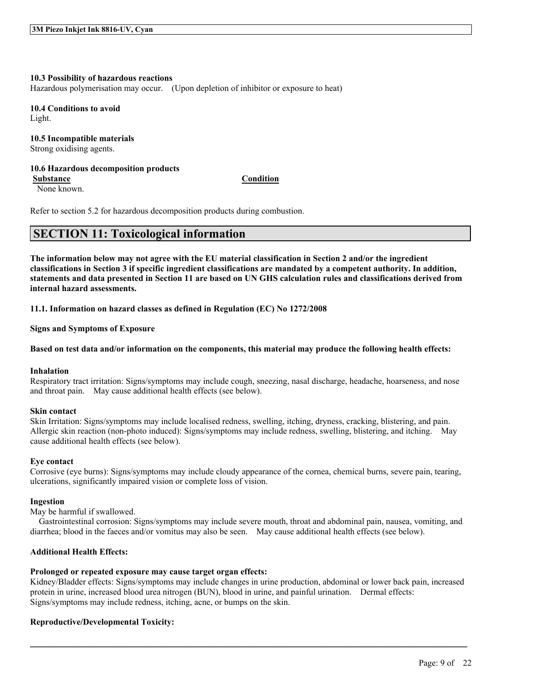#### **10.3 Possibility of hazardous reactions**

Hazardous polymerisation may occur. (Upon depletion of inhibitor or exposure to heat)

**10.4 Conditions to avoid** Light.

# **10.5 Incompatible materials**

Strong oxidising agents.

#### **10.6 Hazardous decomposition products Substance Condition**

None known.

Refer to section 5.2 for hazardous decomposition products during combustion.

# **SECTION 11: Toxicological information**

The information below may not agree with the EU material classification in Section 2 and/or the ingredient classifications in Section 3 if specific ingredient classifications are mandated by a competent authority. In addition, statements and data presented in Section 11 are based on UN GHS calculation rules and classifications derived from **internal hazard assessments.**

**11.1. Information on hazard classes as defined in Regulation (EC) No 1272/2008**

**Signs and Symptoms of Exposure**

#### Based on test data and/or information on the components, this material may produce the following health effects:

#### **Inhalation**

Respiratory tract irritation: Signs/symptoms may include cough, sneezing, nasal discharge, headache, hoarseness, and nose and throat pain. May cause additional health effects (see below).

#### **Skin contact**

Skin Irritation: Signs/symptoms may include localised redness, swelling, itching, dryness, cracking, blistering, and pain. Allergic skin reaction (non-photo induced): Signs/symptoms may include redness, swelling, blistering, and itching. May cause additional health effects (see below).

#### **Eye contact**

Corrosive (eye burns): Signs/symptoms may include cloudy appearance of the cornea, chemical burns, severe pain, tearing, ulcerations, significantly impaired vision or complete loss of vision.

#### **Ingestion**

May be harmful if swallowed.

Gastrointestinal corrosion: Signs/symptoms may include severe mouth, throat and abdominal pain, nausea, vomiting, and diarrhea; blood in the faeces and/or vomitus may also be seen. May cause additional health effects (see below).

#### **Additional Health Effects:**

#### **Prolonged or repeated exposure may cause target organ effects:**

Kidney/Bladder effects: Signs/symptoms may include changes in urine production, abdominal or lower back pain, increased protein in urine, increased blood urea nitrogen (BUN), blood in urine, and painful urination. Dermal effects: Signs/symptoms may include redness, itching, acne, or bumps on the skin.

 $\mathcal{L}_\mathcal{L} = \mathcal{L}_\mathcal{L} = \mathcal{L}_\mathcal{L} = \mathcal{L}_\mathcal{L} = \mathcal{L}_\mathcal{L} = \mathcal{L}_\mathcal{L} = \mathcal{L}_\mathcal{L} = \mathcal{L}_\mathcal{L} = \mathcal{L}_\mathcal{L} = \mathcal{L}_\mathcal{L} = \mathcal{L}_\mathcal{L} = \mathcal{L}_\mathcal{L} = \mathcal{L}_\mathcal{L} = \mathcal{L}_\mathcal{L} = \mathcal{L}_\mathcal{L} = \mathcal{L}_\mathcal{L} = \mathcal{L}_\mathcal{L}$ 

#### **Reproductive/Developmental Toxicity:**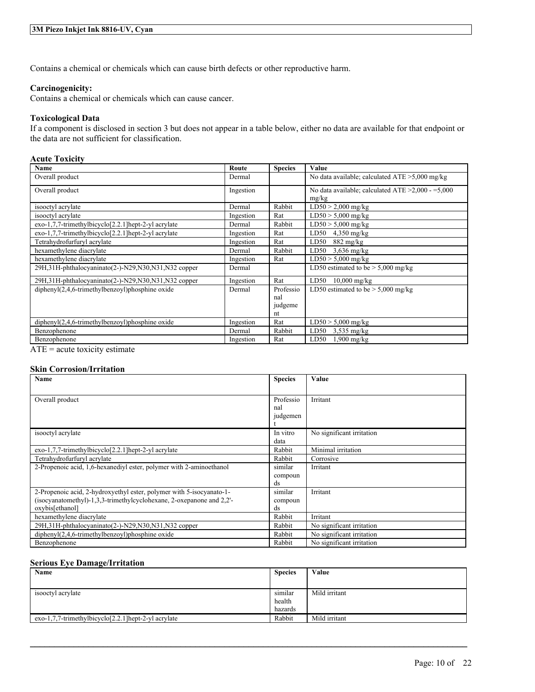### **3M Piezo Inkjet Ink 8816-UV, Cyan**

Contains a chemical or chemicals which can cause birth defects or other reproductive harm.

#### **Carcinogenicity:**

Contains a chemical or chemicals which can cause cancer.

### **Toxicological Data**

If a component is disclosed in section 3 but does not appear in a table below, either no data are available for that endpoint or the data are not sufficient for classification.

# **Acute Toxicity**

| Name                                                 | Route     | <b>Species</b> | Value                                              |
|------------------------------------------------------|-----------|----------------|----------------------------------------------------|
| Overall product                                      | Dermal    |                | No data available; calculated $ATE > 5,000$ mg/kg  |
| Overall product                                      | Ingestion |                | No data available; calculated ATE $>2,000 - 5,000$ |
|                                                      |           |                | mg/kg                                              |
| isooctyl acrylate                                    | Dermal    | Rabbit         | $LD50 > 2,000$ mg/kg                               |
| isooctyl acrylate                                    | Ingestion | Rat            | $LD50 > 5,000$ mg/kg                               |
| exo-1,7,7-trimethylbicyclo[2.2.1] hept-2-yl acrylate | Dermal    | Rabbit         | $LD50 > 5,000$ mg/kg                               |
| exo-1,7,7-trimethylbicyclo[2.2.1]hept-2-yl acrylate  | Ingestion | Rat            | LD50<br>$4,350$ mg/kg                              |
| Tetrahydrofurfuryl acrylate                          | Ingestion | Rat            | LD50<br>$882 \text{ mg/kg}$                        |
| hexamethylene diacrylate                             | Dermal    | Rabbit         | LD50<br>$3,636$ mg/kg                              |
| hexamethylene diacrylate                             | Ingestion | Rat            | $LD50 > 5,000$ mg/kg                               |
| 29H,31H-phthalocyaninato(2-)-N29,N30,N31,N32 copper  | Dermal    |                | LD50 estimated to be $> 5,000$ mg/kg               |
| 29H,31H-phthalocyaninato(2-)-N29,N30,N31,N32 copper  | Ingestion | Rat            | $10,000$ mg/kg<br>LD50                             |
| $dipheny I(2,4,6-trimethylbenzoyl)phosphine oxide$   | Dermal    | Professio      | LD50 estimated to be $> 5,000$ mg/kg               |
|                                                      |           | nal            |                                                    |
|                                                      |           | judgeme        |                                                    |
|                                                      |           | nt             |                                                    |
| $diphenyl(2,4,6-trimethylbenzoyl)phosphine oxide$    | Ingestion | Rat            | $LD50 > 5,000$ mg/kg                               |
| Benzophenone                                         | Dermal    | Rabbit         | LD50<br>$3,535$ mg/kg                              |
| Benzophenone                                         | Ingestion | Rat            | LD50<br>$1,900$ mg/kg                              |

 $ATE = acute$  toxicity estimate

### **Skin Corrosion/Irritation**

| Name                                                                                                                                                            | <b>Species</b>               | Value                     |
|-----------------------------------------------------------------------------------------------------------------------------------------------------------------|------------------------------|---------------------------|
| Overall product                                                                                                                                                 | Professio<br>nal<br>judgemen | Irritant                  |
| isooctyl acrylate                                                                                                                                               | In vitro<br>data             | No significant irritation |
| exo-1,7,7-trimethylbicyclo[2.2.1]hept-2-yl acrylate                                                                                                             | Rabbit                       | Minimal irritation        |
| Tetrahydrofurfuryl acrylate                                                                                                                                     | Rabbit                       | Corrosive                 |
| 2-Propenoic acid, 1.6-hexanedivl ester, polymer with 2-aminoethanol                                                                                             | similar<br>compoun<br>ds     | Irritant                  |
| 2-Propenoic acid, 2-hydroxyethyl ester, polymer with 5-isocyanato-1-<br>(isocyanatomethyl)-1.3.3-trimethylcyclohexane, 2-oxepanone and 2.2'-<br>oxybis[ethanol] | similar<br>compoun<br>ds     | Irritant                  |
| hexamethylene diacrylate                                                                                                                                        | Rabbit                       | Irritant                  |
| 29H, 31H-phthalocyaninato(2-)-N29, N30, N31, N32 copper                                                                                                         | Rabbit                       | No significant irritation |
| $dipheny$ $(2,4,6-trimethylbenzoyl)phosphine oxide$                                                                                                             | Rabbit                       | No significant irritation |
| Benzophenone                                                                                                                                                    | Rabbit                       | No significant irritation |

### **Serious Eye Damage/Irritation**

| Name                                                       | <b>Species</b>               | Value         |
|------------------------------------------------------------|------------------------------|---------------|
|                                                            |                              |               |
| isooctyl acrylate                                          | similar<br>health<br>hazards | Mild irritant |
| $exo-1,7,7-$ trimethylbicyclo $[2,2,1]$ hept-2-yl acrylate | Rabbit                       | Mild irritant |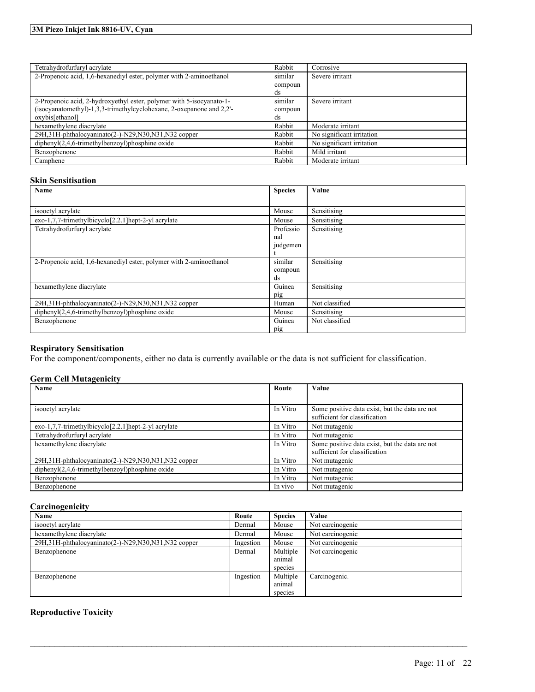# **3M Piezo Inkjet Ink 8816-UV, Cyan**

| Tetrahydrofurfuryl acrylate                                          | Rabbit  | Corrosive                 |
|----------------------------------------------------------------------|---------|---------------------------|
| 2-Propenoic acid, 1,6-hexanediyl ester, polymer with 2-aminoethanol  | similar | Severe irritant           |
|                                                                      | compoun |                           |
|                                                                      | ds      |                           |
| 2-Propenoic acid, 2-hydroxyethyl ester, polymer with 5-isocyanato-1- | similar | Severe irritant           |
| (isocyanatomethyl)-1,3,3-trimethylcyclohexane, 2-oxepanone and 2,2'- | compoun |                           |
| oxybis[ethanol]                                                      | ds      |                           |
| hexamethylene diacrylate                                             | Rabbit  | Moderate irritant         |
| 29H,31H-phthalocyaninato(2-)-N29,N30,N31,N32 copper                  | Rabbit  | No significant irritation |
| $diphenyl(2,4,6-trimethylbenzoyl)phosphine oxide$                    | Rabbit  | No significant irritation |
| Benzophenone                                                         | Rabbit  | Mild irritant             |
| Camphene                                                             | Rabbit  | Moderate irritant         |

### **Skin Sensitisation**

| Name                                                                | <b>Species</b> | Value          |
|---------------------------------------------------------------------|----------------|----------------|
|                                                                     |                |                |
| isooctyl acrylate                                                   | Mouse          | Sensitising    |
| exo-1,7,7-trimethylbicyclo[2.2.1]hept-2-yl acrylate                 | Mouse          | Sensitising    |
| Tetrahydrofurfuryl acrylate                                         | Professio      | Sensitising    |
|                                                                     | nal            |                |
|                                                                     | judgemen       |                |
|                                                                     |                |                |
| 2-Propenoic acid, 1,6-hexanediyl ester, polymer with 2-aminoethanol | similar        | Sensitising    |
|                                                                     | compoun        |                |
|                                                                     | ds             |                |
| hexamethylene diacrylate                                            | Guinea         | Sensitising    |
|                                                                     | pig            |                |
| 29H, 31H-phthalocyaninato(2-)-N29, N30, N31, N32 copper             | Human          | Not classified |
| diphenyl(2,4,6-trimethylbenzoyl)phosphine oxide                     | Mouse          | Sensitising    |
| Benzophenone                                                        | Guinea         | Not classified |
|                                                                     | pig            |                |

# **Respiratory Sensitisation**

For the component/components, either no data is currently available or the data is not sufficient for classification.

# **Germ Cell Mutagenicity**

| Name                                                       | Route    | Value                                                                           |
|------------------------------------------------------------|----------|---------------------------------------------------------------------------------|
|                                                            |          |                                                                                 |
| isooctyl acrylate                                          | In Vitro | Some positive data exist, but the data are not<br>sufficient for classification |
| $exo-1,7,7-$ trimethylbicyclo $[2.2.1]$ hept-2-yl acrylate | In Vitro | Not mutagenic                                                                   |
| Tetrahydrofurfuryl acrylate                                | In Vitro | Not mutagenic                                                                   |
| hexamethylene diacrylate                                   | In Vitro | Some positive data exist, but the data are not<br>sufficient for classification |
| 29H, 31H-phthalocyaninato(2-)-N29, N30, N31, N32 copper    | In Vitro | Not mutagenic                                                                   |
| $dipheny I(2,4,6-trimethylbenzoyl)phosphine oxide$         | In Vitro | Not mutagenic                                                                   |
| Benzophenone                                               | In Vitro | Not mutagenic                                                                   |
| Benzophenone                                               | In vivo  | Not mutagenic                                                                   |

### **Carcinogenicity**

| Name                                                    | Route     | <b>Species</b> | Value            |
|---------------------------------------------------------|-----------|----------------|------------------|
| isooctyl acrylate                                       | Dermal    | Mouse          | Not carcinogenic |
| hexamethylene diacrylate                                | Dermal    | Mouse          | Not carcinogenic |
| 29H, 31H-phthalocyaninato(2-)-N29, N30, N31, N32 copper | Ingestion | Mouse          | Not carcinogenic |
| Benzophenone                                            | Dermal    | Multiple       | Not carcinogenic |
|                                                         |           | animal         |                  |
|                                                         |           | species        |                  |
| Benzophenone                                            | Ingestion | Multiple       | Carcinogenic.    |
|                                                         |           | animal         |                  |
|                                                         |           | species        |                  |

 $\mathcal{L}_\mathcal{L} = \mathcal{L}_\mathcal{L} = \mathcal{L}_\mathcal{L} = \mathcal{L}_\mathcal{L} = \mathcal{L}_\mathcal{L} = \mathcal{L}_\mathcal{L} = \mathcal{L}_\mathcal{L} = \mathcal{L}_\mathcal{L} = \mathcal{L}_\mathcal{L} = \mathcal{L}_\mathcal{L} = \mathcal{L}_\mathcal{L} = \mathcal{L}_\mathcal{L} = \mathcal{L}_\mathcal{L} = \mathcal{L}_\mathcal{L} = \mathcal{L}_\mathcal{L} = \mathcal{L}_\mathcal{L} = \mathcal{L}_\mathcal{L}$ 

# **Reproductive Toxicity**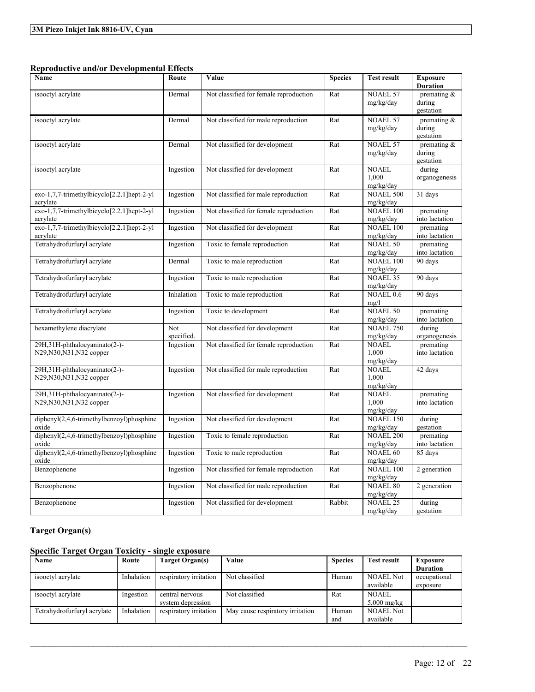# **Reproductive and/or Developmental Effects**

| Name                                                       | Route             | Value                                  | <b>Species</b> | <b>Test result</b>                 | <b>Exposure</b><br><b>Duration</b>    |
|------------------------------------------------------------|-------------------|----------------------------------------|----------------|------------------------------------|---------------------------------------|
| isooctyl acrylate                                          | Dermal            | Not classified for female reproduction | Rat            | <b>NOAEL 57</b><br>mg/kg/day       | premating $\&$<br>during<br>gestation |
| isooctyl acrylate                                          | Dermal            | Not classified for male reproduction   | Rat            | <b>NOAEL 57</b><br>mg/kg/day       | premating $\&$<br>during<br>gestation |
| isooctyl acrylate                                          | Dermal            | Not classified for development         | Rat            | <b>NOAEL 57</b><br>mg/kg/day       | premating $\&$<br>during<br>gestation |
| isooctyl acrylate                                          | Ingestion         | Not classified for development         | Rat            | <b>NOAEL</b><br>1.000<br>mg/kg/day | during<br>organogenesis               |
| exo-1,7,7-trimethylbicyclo[2.2.1]hept-2-yl<br>acrylate     | Ingestion         | Not classified for male reproduction   | Rat            | <b>NOAEL 500</b><br>mg/kg/day      | 31 days                               |
| $exo-1,7,7-trimethylbicyclo[2.2.1]hept-2-yl$<br>acrylate   | Ingestion         | Not classified for female reproduction | Rat            | <b>NOAEL 100</b><br>mg/kg/day      | premating<br>into lactation           |
| $exo-1,7,7-trimethylbicyclo[2.2.1]hept-2-yl$<br>acrylate   | Ingestion         | Not classified for development         | Rat            | <b>NOAEL 100</b><br>mg/kg/day      | premating<br>into lactation           |
| Tetrahydrofurfuryl acrylate                                | Ingestion         | Toxic to female reproduction           | Rat            | <b>NOAEL 50</b><br>mg/kg/day       | premating<br>into lactation           |
| Tetrahydrofurfuryl acrylate                                | Dermal            | Toxic to male reproduction             | Rat            | <b>NOAEL 100</b><br>mg/kg/day      | 90 days                               |
| Tetrahydrofurfuryl acrylate                                | Ingestion         | Toxic to male reproduction             | Rat            | <b>NOAEL 35</b><br>mg/kg/day       | 90 days                               |
| Tetrahydrofurfuryl acrylate                                | Inhalation        | Toxic to male reproduction             | Rat            | NOAEL 0.6<br>mg/l                  | 90 days                               |
| Tetrahydrofurfuryl acrylate                                | Ingestion         | Toxic to development                   | Rat            | <b>NOAEL 50</b><br>mg/kg/day       | premating<br>into lactation           |
| hexamethylene diacrylate                                   | Not<br>specified. | Not classified for development         | Rat            | <b>NOAEL 750</b><br>mg/kg/day      | during<br>organogenesis               |
| 29H,31H-phthalocyaninato(2-)-<br>N29, N30, N31, N32 copper | Ingestion         | Not classified for female reproduction | Rat            | <b>NOAEL</b><br>1,000<br>mg/kg/day | premating<br>into lactation           |
| 29H,31H-phthalocyaninato(2-)-<br>N29, N30, N31, N32 copper | Ingestion         | Not classified for male reproduction   | Rat            | <b>NOAEL</b><br>1,000<br>mg/kg/day | 42 days                               |
| 29H,31H-phthalocyaninato(2-)-<br>N29, N30, N31, N32 copper | Ingestion         | Not classified for development         | Rat            | <b>NOAEL</b><br>1,000<br>mg/kg/day | premating<br>into lactation           |
| diphenyl(2,4,6-trimethylbenzoyl)phosphine<br>oxide         | Ingestion         | Not classified for development         | Rat            | <b>NOAEL 150</b><br>mg/kg/day      | during<br>gestation                   |
| diphenyl(2,4,6-trimethylbenzoyl)phosphine<br>oxide         | Ingestion         | Toxic to female reproduction           | Rat            | <b>NOAEL 200</b><br>mg/kg/day      | premating<br>into lactation           |
| $diphenyl(2,4,6-trimethylbenzoyl)phosphine$<br>oxide       | Ingestion         | Toxic to male reproduction             | Rat            | <b>NOAEL 60</b><br>mg/kg/day       | 85 days                               |
| Benzophenone                                               | Ingestion         | Not classified for female reproduction | Rat            | <b>NOAEL 100</b><br>mg/kg/day      | 2 generation                          |
| Benzophenone                                               | Ingestion         | Not classified for male reproduction   | Rat            | <b>NOAEL 80</b><br>mg/kg/day       | 2 generation                          |
| Benzophenone                                               | Ingestion         | Not classified for development         | Rabbit         | <b>NOAEL 25</b><br>mg/kg/day       | during<br>gestation                   |

# **Target Organ(s)**

# **Specific Target Organ Toxicity - single exposure**

| Name                        | Route      | Target Organ(s)        | Value                            | <b>Species</b> | <b>Test result</b> | <b>Exposure</b> |
|-----------------------------|------------|------------------------|----------------------------------|----------------|--------------------|-----------------|
|                             |            |                        |                                  |                |                    | <b>Duration</b> |
| isooctyl acrylate           | Inhalation | respiratory irritation | Not classified                   | Human          | <b>NOAEL Not</b>   | occupational    |
|                             |            |                        |                                  |                | available          | exposure        |
| isooctyl acrylate           | Ingestion  | central nervous        | Not classified                   | Rat            | <b>NOAEL</b>       |                 |
|                             |            | system depression      |                                  |                | $5.000$ mg/kg      |                 |
| Tetrahydrofurfuryl acrylate | Inhalation | respiratory irritation | May cause respiratory irritation | Human          | <b>NOAEL Not</b>   |                 |
|                             |            |                        |                                  | and            | available          |                 |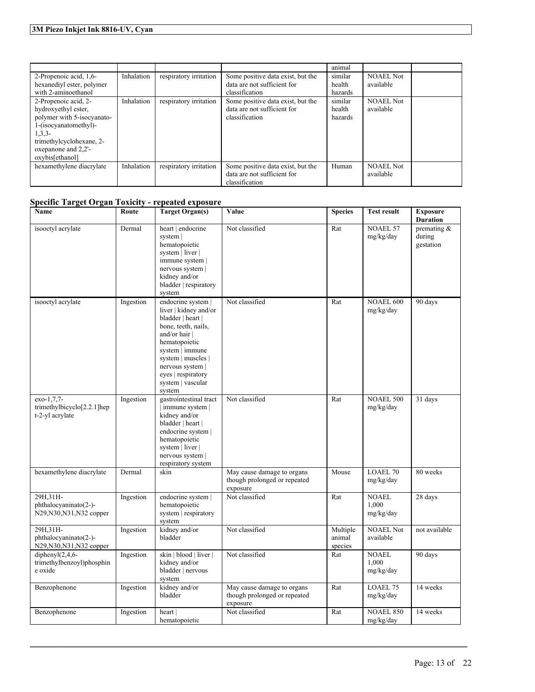|                            |            |                        |                                   | animal  |                  |  |
|----------------------------|------------|------------------------|-----------------------------------|---------|------------------|--|
| 2-Propenoic acid, 1,6-     | Inhalation | respiratory irritation | Some positive data exist, but the | similar | <b>NOAEL Not</b> |  |
| hexanediyl ester, polymer  |            |                        | data are not sufficient for       | health  | available        |  |
| with 2-aminoethanol        |            |                        | classification                    | hazards |                  |  |
| 2-Propenoic acid, 2-       | Inhalation | respiratory irritation | Some positive data exist, but the | similar | <b>NOAEL Not</b> |  |
| hydroxyethyl ester,        |            |                        | data are not sufficient for       | health  | available        |  |
| polymer with 5-isocyanato- |            |                        | classification                    | hazards |                  |  |
| 1-(isocyanatomethyl)-      |            |                        |                                   |         |                  |  |
| $1,3,3-$                   |            |                        |                                   |         |                  |  |
| trimethylcyclohexane, 2-   |            |                        |                                   |         |                  |  |
| oxepanone and 2,2'-        |            |                        |                                   |         |                  |  |
| oxybis[ethanol]            |            |                        |                                   |         |                  |  |
| hexamethylene diacrylate   | Inhalation | respiratory irritation | Some positive data exist, but the | Human   | <b>NOAEL Not</b> |  |
|                            |            |                        | data are not sufficient for       |         | available        |  |
|                            |            |                        | classification                    |         |                  |  |

# **Specific Target Organ Toxicity - repeated exposure**

| Name                                                                     | Route     | <b>Target Organ(s)</b>                                                                                                                                                                                                                      | Value                                                                  | <b>Species</b>                | <b>Test result</b>                 | <b>Exposure</b><br><b>Duration</b>   |
|--------------------------------------------------------------------------|-----------|---------------------------------------------------------------------------------------------------------------------------------------------------------------------------------------------------------------------------------------------|------------------------------------------------------------------------|-------------------------------|------------------------------------|--------------------------------------|
| isooctyl acrylate                                                        | Dermal    | heart   endocrine<br>system  <br>hematopoietic<br>system   liver  <br>immune system  <br>nervous system  <br>kidney and/or<br>bladder   respiratory<br>system                                                                               | Not classified                                                         | Rat                           | <b>NOAEL 57</b><br>mg/kg/day       | premating $&$<br>during<br>gestation |
| isooctyl acrylate                                                        | Ingestion | endocrine system  <br>liver   kidney and/or<br>bladder   heart  <br>bone, teeth, nails,<br>and/or hair  <br>hematopoietic<br>system   immune<br>system   muscles  <br>nervous system  <br>eyes   respiratory<br>system   vascular<br>system | Not classified                                                         | Rat                           | NOAEL 600<br>mg/kg/day             | 90 days                              |
| exo-1,7,7-<br>trimethylbicyclo <sup>[2.2.1]</sup> hep<br>t-2-yl acrylate | Ingestion | gastrointestinal tract<br>immune system  <br>kidney and/or<br>bladder   heart  <br>endocrine system  <br>hematopoietic<br>system   liver  <br>nervous system  <br>respiratory system                                                        | Not classified                                                         | Rat                           | <b>NOAEL 500</b><br>mg/kg/day      | 31 days                              |
| hexamethylene diacrylate                                                 | Dermal    | skin                                                                                                                                                                                                                                        | May cause damage to organs<br>though prolonged or repeated<br>exposure | Mouse                         | <b>LOAEL 70</b><br>mg/kg/day       | 80 weeks                             |
| 29H, 31H-<br>phthalocyaninato(2-)-<br>N29, N30, N31, N32 copper          | Ingestion | endocrine system  <br>hematopoietic<br>system   respiratory<br>system                                                                                                                                                                       | Not classified                                                         | Rat                           | <b>NOAEL</b><br>1,000<br>mg/kg/day | 28 days                              |
| 29H, 31H-<br>phthalocyaninato(2-)-<br>N29, N30, N31, N32 copper          | Ingestion | kidney and/or<br>bladder                                                                                                                                                                                                                    | Not classified                                                         | Multiple<br>animal<br>species | <b>NOAEL Not</b><br>available      | not available                        |
| diphenyl $(2, 4, 6$ -<br>trimethylbenzoyl)phosphin<br>e oxide            | Ingestion | skin   blood   liver  <br>kidney and/or<br>bladder   nervous<br>system                                                                                                                                                                      | Not classified                                                         | Rat                           | <b>NOAEL</b><br>1,000<br>mg/kg/day | 90 days                              |
| Benzophenone                                                             | Ingestion | kidney and/or<br>bladder                                                                                                                                                                                                                    | May cause damage to organs<br>though prolonged or repeated<br>exposure | Rat                           | <b>LOAEL 75</b><br>mg/kg/day       | 14 weeks                             |
| Benzophenone                                                             | Ingestion | heart<br>hematopoietic                                                                                                                                                                                                                      | Not classified                                                         | Rat                           | <b>NOAEL 850</b><br>mg/kg/day      | 14 weeks                             |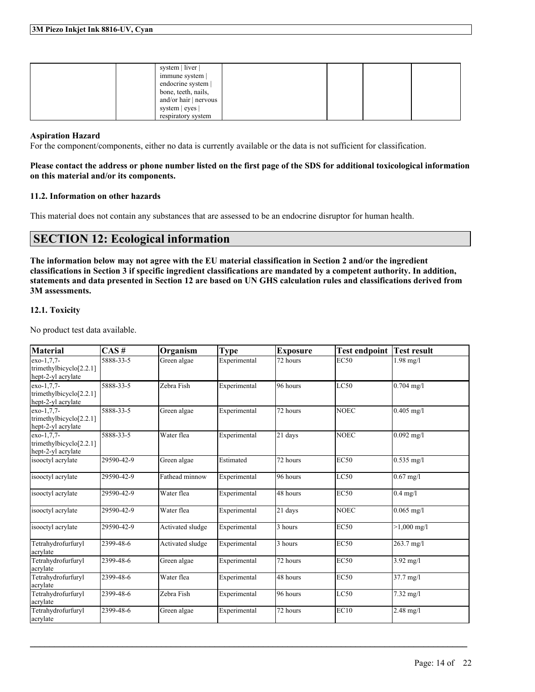| system   liver  <br>immune system |  |
|-----------------------------------|--|
| endocrine system                  |  |
| bone, teeth, nails,               |  |
| and/or hair   nervous             |  |
| system   eyes                     |  |
| respiratory system                |  |

### **Aspiration Hazard**

For the component/components, either no data is currently available or the data is not sufficient for classification.

### Please contact the address or phone number listed on the first page of the SDS for additional toxicological information **on this material and/or its components.**

### **11.2. Information on other hazards**

This material does not contain any substances that are assessed to be an endocrine disruptor for human health.

# **SECTION 12: Ecological information**

The information below may not agree with the EU material classification in Section 2 and/or the ingredient classifications in Section 3 if specific ingredient classifications are mandated by a competent authority. In addition, statements and data presented in Section 12 are based on UN GHS calculation rules and classifications derived from **3M assessments.**

# **12.1. Toxicity**

No product test data available.

| <b>Material</b>                                                | CAS#       | Organism         | <b>Type</b>  | <b>Exposure</b> | <b>Test endpoint</b> | <b>Test result</b>  |
|----------------------------------------------------------------|------------|------------------|--------------|-----------------|----------------------|---------------------|
| exo-1,7,7-<br>trimethylbicyclo $[2.2.1]$<br>hept-2-yl acrylate | 5888-33-5  | Green algae      | Experimental | 72 hours        | EC50                 | $1.98$ mg/l         |
| exo-1,7,7-<br>trimethylbicyclo $[2.2.1]$<br>hept-2-yl acrylate | 5888-33-5  | Zebra Fish       | Experimental | 96 hours        | LC50                 | $0.704$ mg/l        |
| exo-1.7.7-<br>trimethylbicyclo[2.2.1]<br>hept-2-yl acrylate    | 5888-33-5  | Green algae      | Experimental | 72 hours        | <b>NOEC</b>          | $0.405$ mg/l        |
| exo-1,7,7-<br>trimethylbicyclo $[2.2.1]$<br>hept-2-yl acrylate | 5888-33-5  | Water flea       | Experimental | 21 days         | <b>NOEC</b>          | $0.092$ mg/l        |
| isooctyl acrylate                                              | 29590-42-9 | Green algae      | Estimated    | 72 hours        | <b>EC50</b>          | $0.535$ mg/l        |
| isooctyl acrylate                                              | 29590-42-9 | Fathead minnow   | Experimental | 96 hours        | LC50                 | $0.67$ mg/l         |
| isooctyl acrylate                                              | 29590-42-9 | Water flea       | Experimental | 48 hours        | <b>EC50</b>          | $0.4$ mg/l          |
| isooctyl acrylate                                              | 29590-42-9 | Water flea       | Experimental | 21 days         | <b>NOEC</b>          | $0.065$ mg/l        |
| isooctyl acrylate                                              | 29590-42-9 | Activated sludge | Experimental | 3 hours         | <b>EC50</b>          | $>1,000$ mg/l       |
| Tetrahydrofurfuryl<br>acrylate                                 | 2399-48-6  | Activated sludge | Experimental | 3 hours         | <b>EC50</b>          | 263.7 mg/l          |
| Tetrahydrofurfuryl<br>acrylate                                 | 2399-48-6  | Green algae      | Experimental | 72 hours        | <b>EC50</b>          | $3.92$ mg/l         |
| Tetrahydrofurfuryl<br>acrylate                                 | 2399-48-6  | Water flea       | Experimental | 48 hours        | <b>EC50</b>          | $37.7 \text{ mg}/1$ |
| Tetrahydrofurfuryl<br>acrylate                                 | 2399-48-6  | Zebra Fish       | Experimental | 96 hours        | LC50                 | $7.32 \text{ mg}/1$ |
| Tetrahydrofurfuryl<br>acrylate                                 | 2399-48-6  | Green algae      | Experimental | 72 hours        | EC10                 | $2.48$ mg/l         |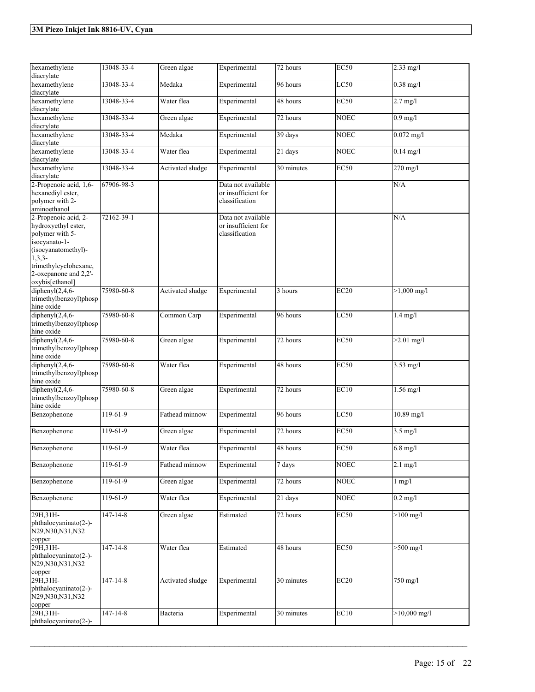| hexamethylene<br>diacrylate                                                                                                                                                             | 13048-33-4     | Green algae      | Experimental                                                | 72 hours   | <b>EC50</b> | $2.33$ mg/l        |
|-----------------------------------------------------------------------------------------------------------------------------------------------------------------------------------------|----------------|------------------|-------------------------------------------------------------|------------|-------------|--------------------|
| hexamethylene<br>diacrylate                                                                                                                                                             | 13048-33-4     | Medaka           | Experimental                                                | 96 hours   | LC50        | $0.38$ mg/l        |
| hexamethylene<br>diacrylate                                                                                                                                                             | 13048-33-4     | Water flea       | Experimental                                                | 48 hours   | <b>EC50</b> | $2.7$ mg/l         |
| hexamethylene<br>diacrylate                                                                                                                                                             | 13048-33-4     | Green algae      | Experimental                                                | 72 hours   | <b>NOEC</b> | $0.9$ mg/l         |
| hexamethylene<br>diacrylate                                                                                                                                                             | 13048-33-4     | Medaka           | Experimental                                                | 39 days    | <b>NOEC</b> | $0.072$ mg/l       |
| hexamethylene<br>diacrylate                                                                                                                                                             | 13048-33-4     | Water flea       | Experimental                                                | 21 days    | <b>NOEC</b> | $0.14$ mg/l        |
| hexamethylene<br>diacrylate                                                                                                                                                             | 13048-33-4     | Activated sludge | Experimental                                                | 30 minutes | EC50        | 270 mg/l           |
| 2-Propenoic acid, 1,6-<br>hexanediyl ester,<br>polymer with 2-<br>aminoethanol                                                                                                          | 67906-98-3     |                  | Data not available<br>or insufficient for<br>classification |            |             | N/A                |
| 2-Propenoic acid, 2-<br>hydroxyethyl ester,<br>polymer with 5-<br>isocyanato-1-<br>(isocyanatomethyl)-<br>$1,3,3-$<br>trimethylcyclohexane,<br>2-oxepanone and 2,2'-<br>oxybis[ethanol] | 72162-39-1     |                  | Data not available<br>or insufficient for<br>classification |            |             | N/A                |
| diphenyl $(2,4,6-$<br>trimethylbenzoyl)phosp<br>hine oxide                                                                                                                              | 75980-60-8     | Activated sludge | Experimental                                                | 3 hours    | EC20        | $>1,000$ mg/l      |
| diphenyl $(2, 4, 6$ -<br>trimethylbenzoyl)phosp<br>hine oxide                                                                                                                           | 75980-60-8     | Common Carp      | Experimental                                                | 96 hours   | LC50        | $1.4$ mg/l         |
| diphenyl $(2,4,6-$<br>trimethylbenzoyl)phosp<br>hine oxide                                                                                                                              | 75980-60-8     | Green algae      | Experimental                                                | 72 hours   | EC50        | $>2.01$ mg/l       |
| diphenyl $(2, 4, 6$ -<br>trimethylbenzoyl)phosp<br>hine oxide                                                                                                                           | 75980-60-8     | Water flea       | Experimental                                                | $48$ hours | EC50        | $3.53$ mg/l        |
| diphenyl $(2, 4, 6$ -<br>trimethylbenzoyl)phosp<br>hine oxide                                                                                                                           | 75980-60-8     | Green algae      | Experimental                                                | 72 hours   | EC10        | $1.56$ mg/l        |
| Benzophenone                                                                                                                                                                            | $119-61-9$     | Fathead minnow   | Experimental                                                | 96 hours   | LC50        | $10.89$ mg/l       |
| Benzophenone                                                                                                                                                                            | 119-61-9       | Green algae      | Experimental                                                | 72 hours   | EC50        | $3.5$ mg/l         |
| Benzophenone                                                                                                                                                                            | $119-61-9$     | Water flea       | Experimental                                                | 48 hours   | <b>EC50</b> | $6.8 \text{ mg}/l$ |
| Benzophenone                                                                                                                                                                            | $119-61-9$     | Fathead minnow   | Experimental                                                | 7 days     | NOEC        | $2.1$ mg/l         |
| Benzophenone                                                                                                                                                                            | 119-61-9       | Green algae      | Experimental                                                | 72 hours   | <b>NOEC</b> | $1$ mg/ $1$        |
| Benzophenone                                                                                                                                                                            | 119-61-9       | Water flea       | Experimental                                                | 21 days    | <b>NOEC</b> | $0.2$ mg/l         |
| 29H, 31H-<br>phthalocyaninato(2-)-<br>N29, N30, N31, N32<br>copper                                                                                                                      | $147 - 14 - 8$ | Green algae      | Estimated                                                   | 72 hours   | <b>EC50</b> | $>100$ mg/l        |
| 29H, 31H-<br>phthalocyaninato(2-)-<br>N29, N30, N31, N32<br>copper                                                                                                                      | $147 - 14 - 8$ | Water flea       | Estimated                                                   | 48 hours   | EC50        | $>500$ mg/l        |
| 29H, 31H-<br>phthalocyaninato(2-)-<br>N29, N30, N31, N32<br>copper                                                                                                                      | $147 - 14 - 8$ | Activated sludge | Experimental                                                | 30 minutes | EC20        | 750 mg/l           |
| 29H, 31H-<br>phthalocyaninato(2-)-                                                                                                                                                      | $147 - 14 - 8$ | Bacteria         | Experimental                                                | 30 minutes | EC10        | $>10,000$ mg/l     |
|                                                                                                                                                                                         |                |                  |                                                             |            |             |                    |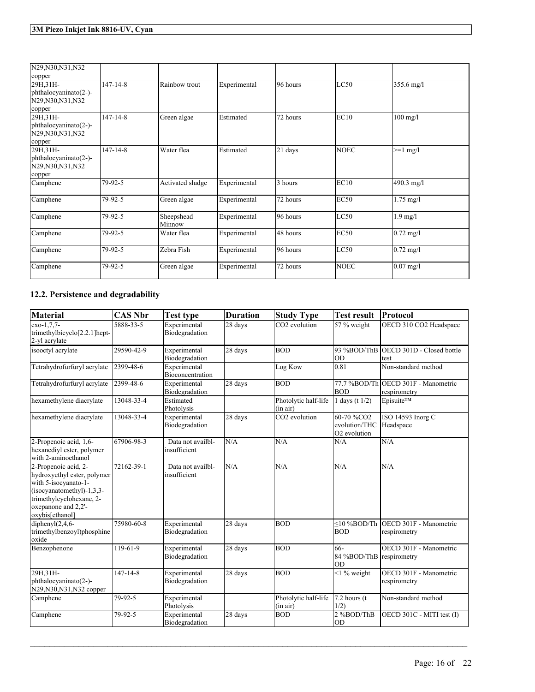| N29, N30, N31, N32<br>copper                                       |                |                      |              |          |             |                      |
|--------------------------------------------------------------------|----------------|----------------------|--------------|----------|-------------|----------------------|
| 29H, 31H-<br>phthalocyaninato(2-)-<br>N29, N30, N31, N32<br>copper | $147 - 14 - 8$ | Rainbow trout        | Experimental | 96 hours | LC50        | 355.6 mg/l           |
| 29H, 31H-<br>phthalocyaninato(2-)-<br>N29, N30, N31, N32<br>copper | $147 - 14 - 8$ | Green algae          | Estimated    | 72 hours | EC10        | $100$ mg/l           |
| 29H, 31H-<br>phthalocyaninato(2-)-<br>N29, N30, N31, N32<br>copper | $147 - 14 - 8$ | Water flea           | Estimated    | 21 days  | <b>NOEC</b> | $>=1$ mg/l           |
| Camphene                                                           | 79-92-5        | Activated sludge     | Experimental | 3 hours  | EC10        | 490.3 mg/l           |
| Camphene                                                           | 79-92-5        | Green algae          | Experimental | 72 hours | EC50        | $1.75 \text{ mg}/1$  |
| Camphene                                                           | 79-92-5        | Sheepshead<br>Minnow | Experimental | 96 hours | LC50        | $1.9$ mg/l           |
| Camphene                                                           | 79-92-5        | Water flea           | Experimental | 48 hours | EC50        | $0.72 \text{ mg}$ /1 |
| Camphene                                                           | 79-92-5        | Zebra Fish           | Experimental | 96 hours | LC50        | $0.72 \text{ mg/l}$  |
| Camphene                                                           | 79-92-5        | Green algae          | Experimental | 72 hours | <b>NOEC</b> | $0.07$ mg/l          |

# **12.2. Persistence and degradability**

| <b>Material</b>                                                                                                                                                                  | <b>CAS Nbr</b> | <b>Test type</b>                  | <b>Duration</b> | <b>Study Type</b>                | <b>Test result</b>                                                  | Protocol                                                 |
|----------------------------------------------------------------------------------------------------------------------------------------------------------------------------------|----------------|-----------------------------------|-----------------|----------------------------------|---------------------------------------------------------------------|----------------------------------------------------------|
| $exo-1,7,7-$<br>trimethylbicyclo[2.2.1]hept-<br>2-yl acrylate                                                                                                                    | 5888-33-5      | Experimental<br>Biodegradation    | 28 days         | CO2 evolution                    | 57 % weight                                                         | OECD 310 CO2 Headspace                                   |
| isooctyl acrylate                                                                                                                                                                | 29590-42-9     | Experimental<br>Biodegradation    | 28 days         | <b>BOD</b>                       | OD                                                                  | 93 %BOD/ThB OECD 301D - Closed bottle<br>test            |
| Tetrahydrofurfuryl acrylate                                                                                                                                                      | 2399-48-6      | Experimental<br>Bioconcentration  |                 | Log Kow                          | 0.81                                                                | Non-standard method                                      |
| Tetrahydrofurfuryl acrylate                                                                                                                                                      | 2399-48-6      | Experimental<br>Biodegradation    | 28 days         | <b>BOD</b>                       | <b>BOD</b>                                                          | 77.7 %BOD/Th OECD 301F - Manometric<br>respirometry      |
| hexamethylene diacrylate                                                                                                                                                         | 13048-33-4     | Estimated<br>Photolysis           |                 | Photolytic half-life<br>(in air) | 1 days (t $1/2$ )                                                   | <b>Episuite™</b>                                         |
| hexamethylene diacrylate                                                                                                                                                         | 13048-33-4     | Experimental<br>Biodegradation    | 28 days         | CO <sub>2</sub> evolution        | 60-70 %CO <sub>2</sub><br>evolution/THC<br>O <sub>2</sub> evolution | ISO 14593 Inorg C<br>Headspace                           |
| 2-Propenoic acid, 1,6-<br>hexanediyl ester, polymer<br>with 2-aminoethanol                                                                                                       | 67906-98-3     | Data not availbl-<br>insufficient | N/A             | N/A                              | N/A                                                                 | N/A                                                      |
| 2-Propenoic acid, 2-<br>hydroxyethyl ester, polymer<br>with 5-isocyanato-1-<br>$(isocyanatomethyl)-1,3,3-$<br>trimethylcyclohexane, 2-<br>oxepanone and 2,2'-<br>oxybis[ethanol] | 72162-39-1     | Data not availbl-<br>insufficient | N/A             | N/A                              | N/A                                                                 | N/A                                                      |
| diphenyl $(2,4,6-$<br>trimethylbenzoyl)phosphine<br>oxide                                                                                                                        | 75980-60-8     | Experimental<br>Biodegradation    | 28 days         | <b>BOD</b>                       | <b>BOD</b>                                                          | $\leq$ 10 %BOD/Th OECD 301F - Manometric<br>respirometry |
| Benzophenone                                                                                                                                                                     | 119-61-9       | Experimental<br>Biodegradation    | 28 days         | <b>BOD</b>                       | 66-<br>84 %BOD/ThB respirometry<br>OD                               | OECD 301F - Manometric                                   |
| 29H.31H-<br>phthalocyaninato(2-)-<br>N29, N30, N31, N32 copper                                                                                                                   | $147 - 14 - 8$ | Experimental<br>Biodegradation    | 28 days         | <b>BOD</b>                       | $<$ 1 % weight                                                      | OECD 301F - Manometric<br>respirometry                   |
| Camphene                                                                                                                                                                         | 79-92-5        | Experimental<br>Photolysis        |                 | Photolytic half-life<br>(in air) | $7.2$ hours (t)<br>1/2)                                             | Non-standard method                                      |
| Camphene                                                                                                                                                                         | 79-92-5        | Experimental<br>Biodegradation    | 28 days         | <b>BOD</b>                       | 2%BOD/ThB<br>lod                                                    | OECD 301C - MITI test (I)                                |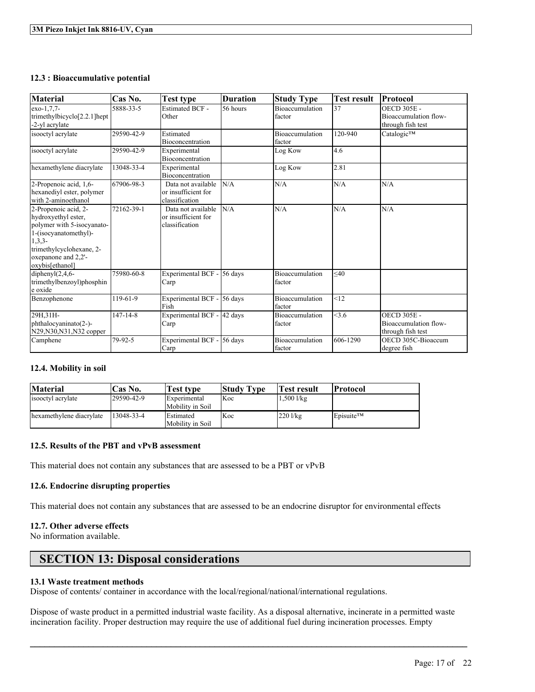### **12.3 : Bioaccumulative potential**

| <b>Material</b>                                                                                                                                                                       | Cas No.        | <b>Test type</b>                                            | <b>Duration</b> | <b>Study Type</b>                | <b>Test result</b> | Protocol                                                         |
|---------------------------------------------------------------------------------------------------------------------------------------------------------------------------------------|----------------|-------------------------------------------------------------|-----------------|----------------------------------|--------------------|------------------------------------------------------------------|
| exo-1,7,7-<br>trimethylbicyclo <sup>[2.2.1]</sup> hept<br>-2-yl acrylate                                                                                                              | 5888-33-5      | <b>Estimated BCF -</b><br>Other                             | 56 hours        | Bioaccumulation<br>factor        | 37                 | <b>OECD 305E -</b><br>Bioaccumulation flow-<br>through fish test |
| isooctyl acrylate                                                                                                                                                                     | 29590-42-9     | Estimated<br>Bioconcentration                               |                 | <b>Bioaccumulation</b><br>factor | 120-940            | Catalogic™                                                       |
| isooctyl acrylate                                                                                                                                                                     | 29590-42-9     | Experimental<br><b>Bioconcentration</b>                     |                 | Log Kow                          | 4.6                |                                                                  |
| hexamethylene diacrylate                                                                                                                                                              | 13048-33-4     | Experimental<br>Bioconcentration                            |                 | Log Kow                          | 2.81               |                                                                  |
| 2-Propenoic acid, 1,6-<br>hexanediyl ester, polymer<br>with 2-aminoethanol                                                                                                            | 67906-98-3     | Data not available<br>or insufficient for<br>classification | N/A             | N/A                              | N/A                | N/A                                                              |
| 2-Propenoic acid, 2-<br>hydroxyethyl ester,<br>polymer with 5-isocyanato-<br>1-(isocyanatomethyl)-<br>$1,3,3$ -<br>trimethylcyclohexane, 2-<br>oxepanone and 2,2'-<br>oxybis[ethanol] | 72162-39-1     | Data not available<br>or insufficient for<br>classification | N/A             | N/A                              | N/A                | N/A                                                              |
| diphenyl $(2,4,6-$<br>trimethylbenzoyl)phosphin<br>e oxide                                                                                                                            | 75980-60-8     | Experimental BCF -<br>Carp                                  | $56$ days       | Bioaccumulation<br>factor        | $<$ 40             |                                                                  |
| Benzophenone                                                                                                                                                                          | 119-61-9       | Experimental BCF -<br>Fish                                  | 56 days         | Bioaccumulation<br>factor        | <12                |                                                                  |
| 29H, 31H-<br>phthalocyaninato(2-)-<br>N29, N30, N31, N32 copper                                                                                                                       | $147 - 14 - 8$ | Experimental BCF -<br>Carp                                  | 42 days         | Bioaccumulation<br>factor        | <3.6               | <b>OECD 305E -</b><br>Bioaccumulation flow-<br>through fish test |
| Camphene                                                                                                                                                                              | 79-92-5        | Experimental BCF -<br>Carp                                  | $56$ days       | <b>Bioaccumulation</b><br>factor | 606-1290           | OECD 305C-Bioaccum<br>degree fish                                |

# **12.4. Mobility in soil**

| <b>Material</b>          | 'Cas No.    | Test type                             | <b>Study Type</b> | Test result    | Protocol              |
|--------------------------|-------------|---------------------------------------|-------------------|----------------|-----------------------|
| isooctyl acrylate        | 129590-42-9 | Experimental<br>Mobility in Soil      | Koc               | $1,500$ $1/kg$ |                       |
| hexamethylene diacrylate | 13048-33-4  | <b>IEstimated</b><br>Mobility in Soil | Koc               | $220$ l/kg     | Episuite <sup>™</sup> |

### **12.5. Results of the PBT and vPvB assessment**

This material does not contain any substances that are assessed to be a PBT or vPvB

# **12.6. Endocrine disrupting properties**

This material does not contain any substances that are assessed to be an endocrine disruptor for environmental effects

# **12.7. Other adverse effects**

No information available.

# **SECTION 13: Disposal considerations**

### **13.1 Waste treatment methods**

Dispose of contents/ container in accordance with the local/regional/national/international regulations.

Dispose of waste product in a permitted industrial waste facility. As a disposal alternative, incinerate in a permitted waste incineration facility. Proper destruction may require the use of additional fuel during incineration processes. Empty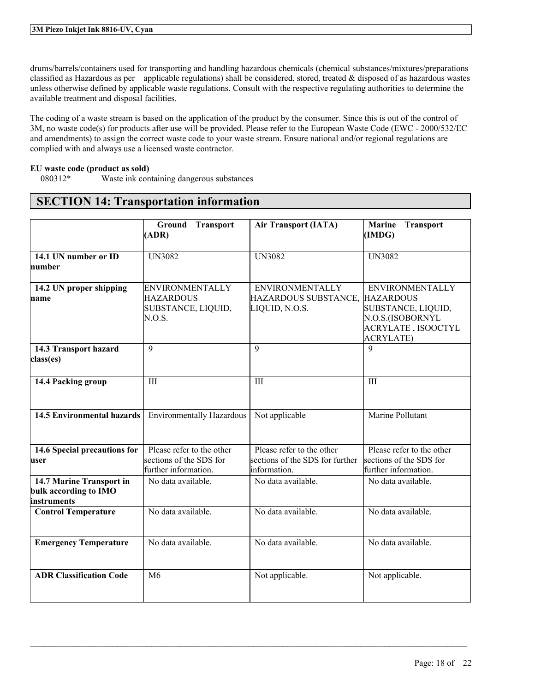drums/barrels/containers used for transporting and handling hazardous chemicals (chemical substances/mixtures/preparations classified as Hazardous as per applicable regulations) shall be considered, stored, treated  $\&$  disposed of as hazardous wastes unless otherwise defined by applicable waste regulations. Consult with the respective regulating authorities to determine the available treatment and disposal facilities.

The coding of a waste stream is based on the application of the product by the consumer. Since this is out of the control of 3M, no waste code(s) for products after use will be provided. Please refer to the European Waste Code (EWC - 2000/532/EC and amendments) to assign the correct waste code to your waste stream. Ensure national and/or regional regulations are complied with and always use a licensed waste contractor.

# **EU waste code (product as sold)**

Waste ink containing dangerous substances

|                                                                  | <b>Transport</b><br>Ground<br>(ADR)                                          | <b>Air Transport (IATA)</b>                                                  | <b>Marine</b><br><b>Transport</b><br>(IMDG)                                                                       |
|------------------------------------------------------------------|------------------------------------------------------------------------------|------------------------------------------------------------------------------|-------------------------------------------------------------------------------------------------------------------|
| 14.1 UN number or ID<br>number                                   | <b>UN3082</b>                                                                | <b>UN3082</b>                                                                | <b>UN3082</b>                                                                                                     |
| 14.2 UN proper shipping<br>name                                  | <b>ENVIRONMENTALLY</b><br><b>HAZARDOUS</b><br>SUBSTANCE, LIQUID,<br>N.O.S.   | <b>ENVIRONMENTALLY</b><br>HAZARDOUS SUBSTANCE, HAZARDOUS<br>LIQUID, N.O.S.   | <b>ENVIRONMENTALLY</b><br>SUBSTANCE, LIQUID,<br>N.O.S.(ISOBORNYL<br><b>ACRYLATE, ISOOCTYL</b><br><b>ACRYLATE)</b> |
| 14.3 Transport hazard<br>class(es)                               | 9                                                                            | $\overline{9}$                                                               | $\mathbf{Q}$                                                                                                      |
| 14.4 Packing group                                               | III                                                                          | III                                                                          | III                                                                                                               |
| <b>14.5 Environmental hazards</b>                                | <b>Environmentally Hazardous</b>                                             | Not applicable                                                               | Marine Pollutant                                                                                                  |
| 14.6 Special precautions for<br>user                             | Please refer to the other<br>sections of the SDS for<br>further information. | Please refer to the other<br>sections of the SDS for further<br>information. | Please refer to the other<br>sections of the SDS for<br>further information.                                      |
| 14.7 Marine Transport in<br>bulk according to IMO<br>instruments | No data available.                                                           | No data available.                                                           | No data available.                                                                                                |
| <b>Control Temperature</b>                                       | No data available.                                                           | No data available.                                                           | No data available.                                                                                                |
| <b>Emergency Temperature</b>                                     | No data available.                                                           | No data available.                                                           | No data available.                                                                                                |
| <b>ADR Classification Code</b>                                   | M6                                                                           | Not applicable.                                                              | Not applicable.                                                                                                   |

 $\mathcal{L}_\mathcal{L} = \mathcal{L}_\mathcal{L} = \mathcal{L}_\mathcal{L} = \mathcal{L}_\mathcal{L} = \mathcal{L}_\mathcal{L} = \mathcal{L}_\mathcal{L} = \mathcal{L}_\mathcal{L} = \mathcal{L}_\mathcal{L} = \mathcal{L}_\mathcal{L} = \mathcal{L}_\mathcal{L} = \mathcal{L}_\mathcal{L} = \mathcal{L}_\mathcal{L} = \mathcal{L}_\mathcal{L} = \mathcal{L}_\mathcal{L} = \mathcal{L}_\mathcal{L} = \mathcal{L}_\mathcal{L} = \mathcal{L}_\mathcal{L}$ 

# **SECTION 14: Transportation information**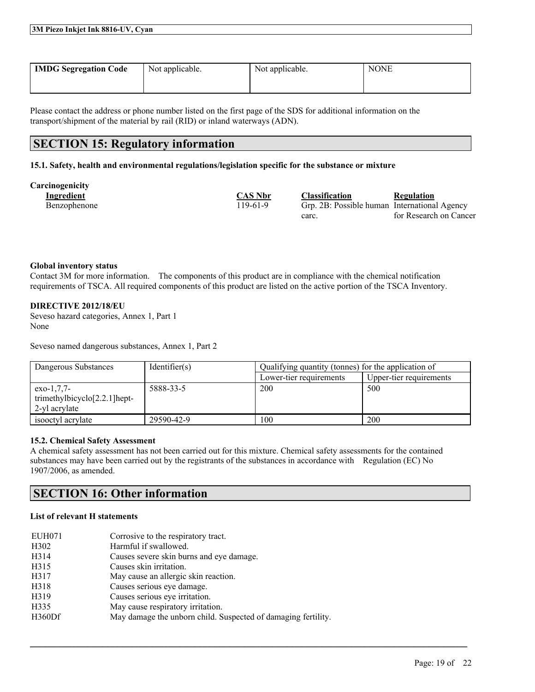| <b>IMDG Segregation Code</b> | Not applicable. | Not applicable. | <b>NONE</b> |
|------------------------------|-----------------|-----------------|-------------|
|                              |                 |                 |             |

Please contact the address or phone number listed on the first page of the SDS for additional information on the transport/shipment of the material by rail (RID) or inland waterways (ADN).

# **SECTION 15: Regulatory information**

### **15.1. Safety, health and environmental regulations/legislation specific for the substance or mixture**

**Carcinogenicity**

| $\cdots$<br>Ingredient | <b>CAS Nbr</b> | <b>Classification</b>                        | <b>Regulation</b>      |
|------------------------|----------------|----------------------------------------------|------------------------|
| Benzophenone           | 119-61-9       | Grp. 2B: Possible human International Agency |                        |
|                        |                | carc.                                        | for Research on Cancer |

### **Global inventory status**

Contact 3M for more information. The components of this product are in compliance with the chemical notification requirements of TSCA. All required components of this product are listed on the active portion of the TSCA Inventory.

# **DIRECTIVE 2012/18/EU**

Seveso hazard categories, Annex 1, Part 1 None

Seveso named dangerous substances, Annex 1, Part 2

| Dangerous Substances                                              | Identifier(s) | Qualifying quantity (tonnes) for the application of |                         |  |
|-------------------------------------------------------------------|---------------|-----------------------------------------------------|-------------------------|--|
|                                                                   |               | Lower-tier requirements                             | Upper-tier requirements |  |
| $exo-1.7.7-$<br>trimethylbicyclo $[2.2.1]$ hept-<br>2-vl acrylate | 5888-33-5     | 200                                                 | 500                     |  |
| isooctyl acrylate                                                 | 29590-42-9    | 100                                                 | 200                     |  |

#### **15.2. Chemical Safety Assessment**

A chemical safety assessment has not been carried out for this mixture. Chemical safety assessments for the contained substances may have been carried out by the registrants of the substances in accordance with Regulation (EC) No 1907/2006, as amended.

 $\mathcal{L}_\mathcal{L} = \mathcal{L}_\mathcal{L} = \mathcal{L}_\mathcal{L} = \mathcal{L}_\mathcal{L} = \mathcal{L}_\mathcal{L} = \mathcal{L}_\mathcal{L} = \mathcal{L}_\mathcal{L} = \mathcal{L}_\mathcal{L} = \mathcal{L}_\mathcal{L} = \mathcal{L}_\mathcal{L} = \mathcal{L}_\mathcal{L} = \mathcal{L}_\mathcal{L} = \mathcal{L}_\mathcal{L} = \mathcal{L}_\mathcal{L} = \mathcal{L}_\mathcal{L} = \mathcal{L}_\mathcal{L} = \mathcal{L}_\mathcal{L}$ 

# **SECTION 16: Other information**

# **List of relevant H statements**

| EUH071            | Corrosive to the respiratory tract.                           |
|-------------------|---------------------------------------------------------------|
| H <sub>3</sub> 02 | Harmful if swallowed.                                         |
| H314              | Causes severe skin burns and eye damage.                      |
| H315              | Causes skin irritation.                                       |
| H317              | May cause an allergic skin reaction.                          |
| H318              | Causes serious eye damage.                                    |
| H319              | Causes serious eye irritation.                                |
| H335              | May cause respiratory irritation.                             |
| H360Df            | May damage the unborn child. Suspected of damaging fertility. |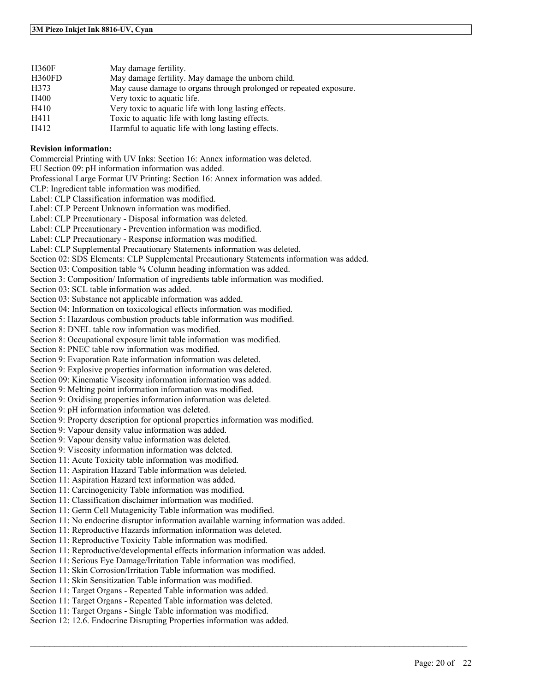| <b>H360F</b> | May damage fertility.                                              |
|--------------|--------------------------------------------------------------------|
| H360FD       | May damage fertility. May damage the unborn child.                 |
| H373         | May cause damage to organs through prolonged or repeated exposure. |
| H400         | Very toxic to aquatic life.                                        |
| H410         | Very toxic to aquatic life with long lasting effects.              |
| H411         | Toxic to aquatic life with long lasting effects.                   |
| H412         | Harmful to aquatic life with long lasting effects.                 |

#### **Revision information:**

Commercial Printing with UV Inks: Section 16: Annex information was deleted.

EU Section 09: pH information information was added.

Professional Large Format UV Printing: Section 16: Annex information was added.

CLP: Ingredient table information was modified.

Label: CLP Classification information was modified.

Label: CLP Percent Unknown information was modified.

Label: CLP Precautionary - Disposal information was deleted.

Label: CLP Precautionary - Prevention information was modified.

Label: CLP Precautionary - Response information was modified.

Label: CLP Supplemental Precautionary Statements information was deleted.

Section 02: SDS Elements: CLP Supplemental Precautionary Statements information was added.

Section 03: Composition table % Column heading information was added.

Section 3: Composition/ Information of ingredients table information was modified.

Section 03: SCL table information was added.

Section 03: Substance not applicable information was added.

Section 04: Information on toxicological effects information was modified.

Section 5: Hazardous combustion products table information was modified.

Section 8: DNEL table row information was modified.

Section 8: Occupational exposure limit table information was modified.

Section 8: PNEC table row information was modified.

Section 9: Evaporation Rate information information was deleted.

Section 9: Explosive properties information information was deleted.

Section 09: Kinematic Viscosity information information was added.

Section 9: Melting point information information was modified.

Section 9: Oxidising properties information information was deleted.

Section 9: pH information information was deleted.

Section 9: Property description for optional properties information was modified.

Section 9: Vapour density value information was added.

Section 9: Vapour density value information was deleted.

Section 9: Viscosity information information was deleted.

Section 11: Acute Toxicity table information was modified.

Section 11: Aspiration Hazard Table information was deleted.

Section 11: Aspiration Hazard text information was added.

Section 11: Carcinogenicity Table information was modified.

Section 11: Classification disclaimer information was modified.

Section 11: Germ Cell Mutagenicity Table information was modified.

Section 11: No endocrine disruptor information available warning information was added.

 $\mathcal{L}_\mathcal{L} = \mathcal{L}_\mathcal{L} = \mathcal{L}_\mathcal{L} = \mathcal{L}_\mathcal{L} = \mathcal{L}_\mathcal{L} = \mathcal{L}_\mathcal{L} = \mathcal{L}_\mathcal{L} = \mathcal{L}_\mathcal{L} = \mathcal{L}_\mathcal{L} = \mathcal{L}_\mathcal{L} = \mathcal{L}_\mathcal{L} = \mathcal{L}_\mathcal{L} = \mathcal{L}_\mathcal{L} = \mathcal{L}_\mathcal{L} = \mathcal{L}_\mathcal{L} = \mathcal{L}_\mathcal{L} = \mathcal{L}_\mathcal{L}$ 

Section 11: Reproductive Hazards information information was deleted.

Section 11: Reproductive Toxicity Table information was modified.

Section 11: Reproductive/developmental effects information information was added.

Section 11: Serious Eye Damage/Irritation Table information was modified.

Section 11: Skin Corrosion/Irritation Table information was modified.

Section 11: Skin Sensitization Table information was modified.

Section 11: Target Organs - Repeated Table information was added.

Section 11: Target Organs - Repeated Table information was deleted.

Section 11: Target Organs - Single Table information was modified.

Section 12: 12.6. Endocrine Disrupting Properties information was added.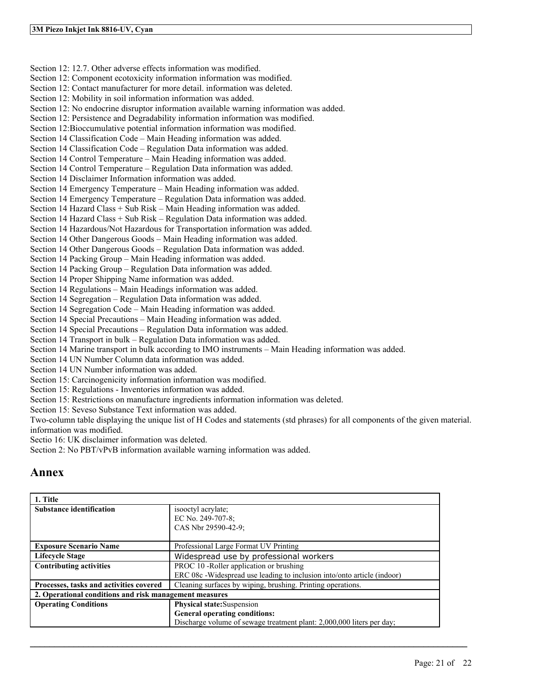Section 12: 12.7. Other adverse effects information was modified. Section 12: Component ecotoxicity information information was modified. Section 12: Contact manufacturer for more detail. information was deleted. Section 12: Mobility in soil information information was added. Section 12: No endocrine disruptor information available warning information was added. Section 12: Persistence and Degradability information information was modified. Section 12:Bioccumulative potential information information was modified. Section 14 Classification Code – Main Heading information was added. Section 14 Classification Code – Regulation Data information was added. Section 14 Control Temperature – Main Heading information was added. Section 14 Control Temperature – Regulation Data information was added. Section 14 Disclaimer Information information was added. Section 14 Emergency Temperature – Main Heading information was added. Section 14 Emergency Temperature – Regulation Data information was added. Section 14 Hazard Class + Sub Risk – Main Heading information was added. Section 14 Hazard Class + Sub Risk – Regulation Data information was added. Section 14 Hazardous/Not Hazardous for Transportation information was added. Section 14 Other Dangerous Goods – Main Heading information was added. Section 14 Other Dangerous Goods – Regulation Data information was added. Section 14 Packing Group – Main Heading information was added. Section 14 Packing Group – Regulation Data information was added. Section 14 Proper Shipping Name information was added. Section 14 Regulations – Main Headings information was added. Section 14 Segregation – Regulation Data information was added. Section 14 Segregation Code – Main Heading information was added. Section 14 Special Precautions – Main Heading information was added. Section 14 Special Precautions – Regulation Data information was added. Section 14 Transport in bulk – Regulation Data information was added. Section 14 Marine transport in bulk according to IMO instruments – Main Heading information was added. Section 14 UN Number Column data information was added. Section 14 UN Number information was added. Section 15: Carcinogenicity information information was modified. Section 15: Regulations - Inventories information was added. Section 15: Restrictions on manufacture ingredients information information was deleted. Section 15: Seveso Substance Text information was added.

Two-column table displaying the unique list of H Codes and statements (std phrases) for all components of the given material. information was modified.

Sectio 16: UK disclaimer information was deleted.

Section 2: No PBT/vPvB information available warning information was added.

# **Annex**

| 1. Title                                               |                                                                         |  |
|--------------------------------------------------------|-------------------------------------------------------------------------|--|
| <b>Substance identification</b>                        | isoloctyl acrylate;                                                     |  |
|                                                        | EC No. 249-707-8;                                                       |  |
|                                                        | CAS Nbr 29590-42-9;                                                     |  |
|                                                        |                                                                         |  |
| <b>Exposure Scenario Name</b>                          | Professional Large Format UV Printing                                   |  |
| <b>Lifecycle Stage</b>                                 | Widespread use by professional workers                                  |  |
| <b>Contributing activities</b>                         | PROC 10 -Roller application or brushing                                 |  |
|                                                        | ERC 08c -Widespread use leading to inclusion into/onto article (indoor) |  |
| Processes, tasks and activities covered                | Cleaning surfaces by wiping, brushing. Printing operations.             |  |
| 2. Operational conditions and risk management measures |                                                                         |  |
| <b>Operating Conditions</b>                            | <b>Physical state:</b> Suspension                                       |  |
|                                                        | <b>General operating conditions:</b>                                    |  |
|                                                        | Discharge volume of sewage treatment plant: 2,000,000 liters per day;   |  |